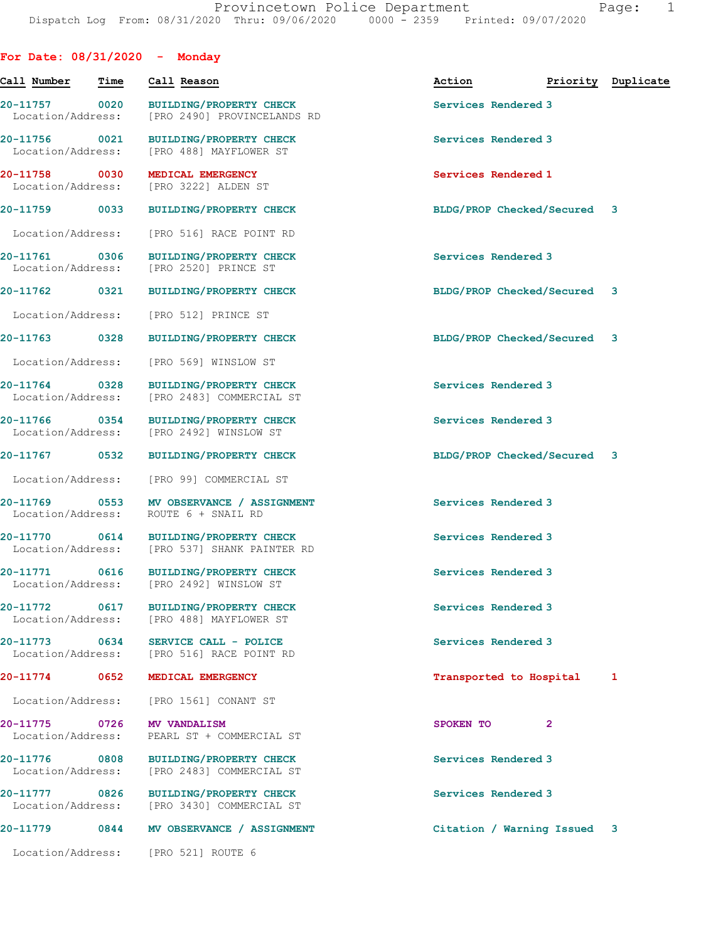| For Date: $08/31/2020 -$ Monday    |                   |                                                                           |                             |                    |
|------------------------------------|-------------------|---------------------------------------------------------------------------|-----------------------------|--------------------|
| Call Number                        | Time              | Call Reason                                                               | Action                      | Priority Duplicate |
| 20-11757<br>Location/Address:      | $\overline{0020}$ | <b>BUILDING/PROPERTY CHECK</b><br>[PRO 2490] PROVINCELANDS RD             | Services Rendered 3         |                    |
| 20-11756 0021<br>Location/Address: |                   | <b>BUILDING/PROPERTY CHECK</b><br>[PRO 488] MAYFLOWER ST                  | Services Rendered 3         |                    |
| 20-11758<br>Location/Address:      | 0030              | MEDICAL EMERGENCY<br>[PRO 3222] ALDEN ST                                  | Services Rendered 1         |                    |
| 20-11759                           | 0033              | <b>BUILDING/PROPERTY CHECK</b>                                            | BLDG/PROP Checked/Secured 3 |                    |
| Location/Address:                  |                   | [PRO 516] RACE POINT RD                                                   |                             |                    |
| 20-11761<br>Location/Address:      | 0306              | <b>BUILDING/PROPERTY CHECK</b><br>[PRO 2520] PRINCE ST                    | Services Rendered 3         |                    |
| 20-11762                           | 0321              | <b>BUILDING/PROPERTY CHECK</b>                                            | BLDG/PROP Checked/Secured 3 |                    |
| Location/Address:                  |                   | [PRO 512] PRINCE ST                                                       |                             |                    |
| 20-11763                           | 0328              | <b>BUILDING/PROPERTY CHECK</b>                                            | BLDG/PROP Checked/Secured   | 3                  |
| Location/Address:                  |                   | [PRO 569] WINSLOW ST                                                      |                             |                    |
| 20-11764<br>Location/Address:      | 0328              | <b>BUILDING/PROPERTY CHECK</b><br>[PRO 2483] COMMERCIAL ST                | Services Rendered 3         |                    |
| 20-11766 0354<br>Location/Address: |                   | <b>BUILDING/PROPERTY CHECK</b><br>[PRO 2492] WINSLOW ST                   | Services Rendered 3         |                    |
| 20-11767                           | 0532              | <b>BUILDING/PROPERTY CHECK</b>                                            | BLDG/PROP Checked/Secured 3 |                    |
| Location/Address:                  |                   | [PRO 99] COMMERCIAL ST                                                    |                             |                    |
| 20-11769<br>Location/Address:      | 0553              | MV OBSERVANCE / ASSIGNMENT<br>ROUTE 6 + SNAIL RD                          | Services Rendered 3         |                    |
| $20 - 11770$<br>Location/Address:  | 0614              | <b>BUILDING/PROPERTY CHECK</b><br>[PRO 537] SHANK PAINTER RD              | Services Rendered 3         |                    |
| 20-11771                           | 0616              | <b>BUILDING/PROPERTY CHECK</b><br>Location/Address: [PRO 2492] WINSLOW ST | Services Rendered 3         |                    |
| 20-11772<br>Location/Address:      | 0617              | <b>BUILDING/PROPERTY CHECK</b><br>[PRO 488] MAYFLOWER ST                  | Services Rendered 3         |                    |
| 20-11773<br>Location/Address:      | 0634              | SERVICE CALL - POLICE<br>[PRO 516] RACE POINT RD                          | Services Rendered 3         |                    |
| 20-11774                           | 0652              | MEDICAL EMERGENCY                                                         | Transported to Hospital     | 1                  |
| Location/Address:                  |                   | [PRO 1561] CONANT ST                                                      |                             |                    |
| 20-11775<br>Location/Address:      | 0726              | <b>MV VANDALISM</b><br>PEARL ST + COMMERCIAL ST                           | $\overline{2}$<br>SPOKEN TO |                    |
| 20-11776<br>Location/Address:      | 0808              | <b>BUILDING/PROPERTY CHECK</b><br>[PRO 2483] COMMERCIAL ST                | Services Rendered 3         |                    |
| 20-11777<br>Location/Address:      | 0826              | <b>BUILDING/PROPERTY CHECK</b><br>[PRO 3430] COMMERCIAL ST                | Services Rendered 3         |                    |
| 20-11779                           | 0844              | MV OBSERVANCE / ASSIGNMENT                                                | Citation / Warning Issued 3 |                    |
| Location/Address:                  |                   | [PRO 521] ROUTE 6                                                         |                             |                    |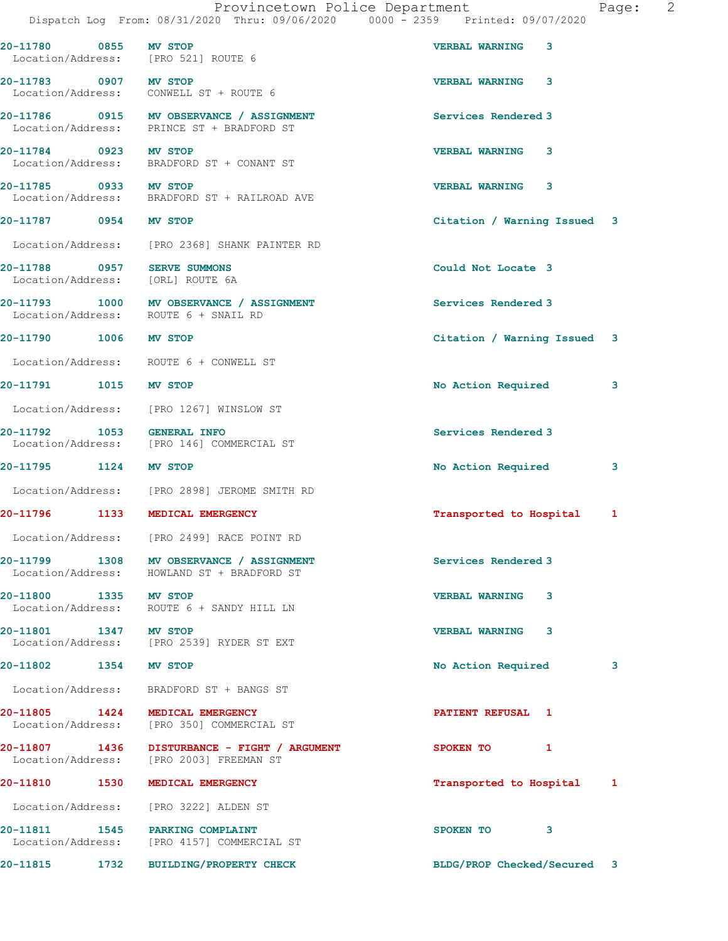|                                                |  | Provincetown Police Department |  |                                 | Page: |  |
|------------------------------------------------|--|--------------------------------|--|---------------------------------|-------|--|
| Dispatch Log From: 08/31/2020 Thru: 09/06/2020 |  |                                |  | 0000 - 2359 Printed: 09/07/2020 |       |  |
|                                                |  |                                |  |                                 |       |  |

20-11780 0855 MV STOP VERBAL WARNING 3 Location/Address: [PRO 521] ROUTE 6 20-11783 0907 MV STOP VERBAL WARNING 3 Location/Address: CONWELL ST + ROUTE 6 20-11786 0915 MV OBSERVANCE / ASSIGNMENT Services Rendered 3 Location/Address: PRINCE ST + BRADFORD ST 20-11784 0923 MV STOP VERBAL WARNING 3 Location/Address: BRADFORD ST + CONANT ST 20-11785 0933 MV STOP VERBAL WARNING 3 Location/Address: BRADFORD ST + RAILROAD AVE 20-11787 0954 MV STOP Citation / Warning Issued 3 Location/Address: [PRO 2368] SHANK PAINTER RD 20-11788 0957 SERVE SUMMONS Could Not Locate 3 Location/Address: [ORL] ROUTE 6A 20-11793 1000 MV OBSERVANCE / ASSIGNMENT Services Rendered 3 Location/Address: ROUTE 6 + SNAIL RD 20-11790 1006 MV STOP Citation / Warning Issued 3 Location/Address: ROUTE 6 + CONWELL ST 20-11791 1015 MV STOP 100 2001 2002 No Action Required 3 Location/Address: [PRO 1267] WINSLOW ST 20-11792 1053 GENERAL INFO Services Rendered 3 Location/Address: [PRO 146] COMMERCIAL ST 20-11795 1124 MV STOP No Action Required 3 Location/Address: [PRO 2898] JEROME SMITH RD 20-11796 1133 MEDICAL EMERGENCY Transported to Hospital 1 Location/Address: [PRO 2499] RACE POINT RD 20-11799 1308 MV OBSERVANCE / ASSIGNMENT Services Rendered 3 Location/Address: HOWLAND ST + BRADFORD ST 20-11800 1335 MV STOP VERBAL WARNING 3 Location/Address: ROUTE 6 + SANDY HILL LN 20-11801 1347 MV STOP 120-11801 VERBAL WARNING 3<br>
Location/Address: [PRO 2539] RYDER ST EXT Location/Address: [PRO 2539] RYDER ST EXT 20-11802 1354 MV STOP 1200 2001 No Action Required 3 Location/Address: BRADFORD ST + BANGS ST 20-11805 1424 MEDICAL EMERGENCY PATIENT REFUSAL 1 Location/Address: [PRO 350] COMMERCIAL ST 20-11807 1436 DISTURBANCE - FIGHT / ARGUMENT SPOKEN TO 1 Location/Address: [PRO 2003] FREEMAN ST 20-11810 1530 MEDICAL EMERGENCY Transported to Hospital 1 Location/Address: [PRO 3222] ALDEN ST 20-11811 1545 PARKING COMPLAINT 120 SPOKEN TO 3 Location/Address: [PRO 4157] COMMERCIAL ST

20-11815 1732 BUILDING/PROPERTY CHECK BLDG/PROP Checked/Secured 3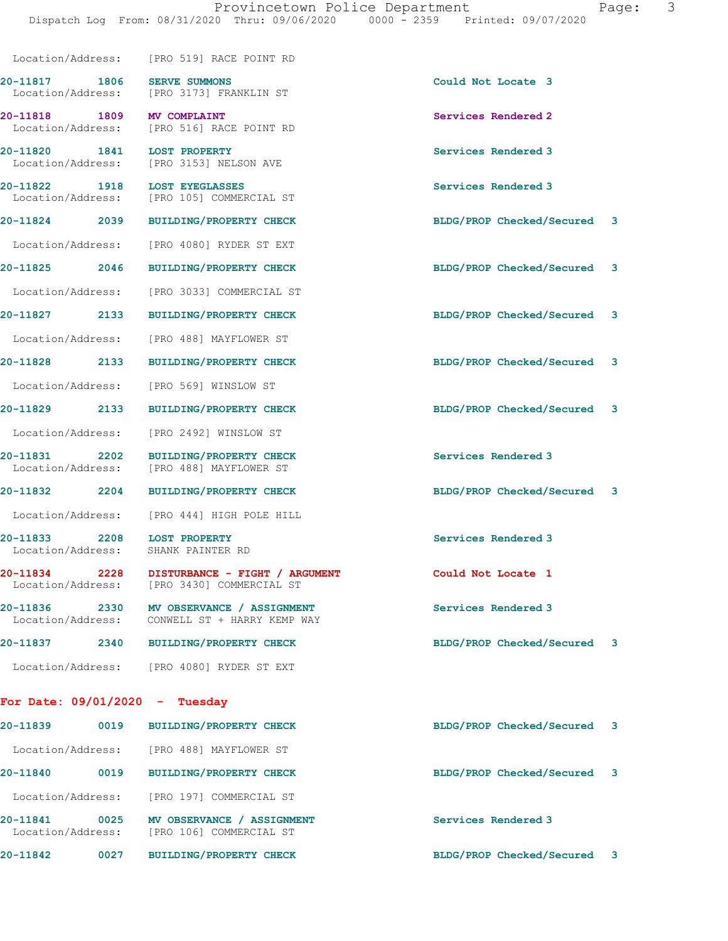| Page: |  |
|-------|--|
|-------|--|

|                                    |      | Location/Address: [PRO 519] RACE POINT RD                                    |                             |   |
|------------------------------------|------|------------------------------------------------------------------------------|-----------------------------|---|
| 20-11817<br>Location/Address:      | 1806 | <b>SERVE SUMMONS</b><br>[PRO 3173] FRANKLIN ST                               | Could Not Locate 3          |   |
| 20-11818 1809<br>Location/Address: |      | MV COMPLAINT<br>[PRO 516] RACE POINT RD                                      | Services Rendered 2         |   |
| 20-11820 1841<br>Location/Address: |      | <b>LOST PROPERTY</b><br>[PRO 3153] NELSON AVE                                | Services Rendered 3         |   |
| 20-11822 1918<br>Location/Address: |      | <b>LOST EYEGLASSES</b><br>[PRO 105] COMMERCIAL ST                            | Services Rendered 3         |   |
| 20-11824 2039                      |      | <b>BUILDING/PROPERTY CHECK</b>                                               | BLDG/PROP Checked/Secured 3 |   |
| Location/Address:                  |      | [PRO 4080] RYDER ST EXT                                                      |                             |   |
| 20-11825                           | 2046 | <b>BUILDING/PROPERTY CHECK</b>                                               | BLDG/PROP Checked/Secured   | 3 |
| Location/Address:                  |      | [PRO 3033] COMMERCIAL ST                                                     |                             |   |
| 20-11827                           | 2133 | <b>BUILDING/PROPERTY CHECK</b>                                               | BLDG/PROP Checked/Secured 3 |   |
| Location/Address:                  |      | [PRO 488] MAYFLOWER ST                                                       |                             |   |
| 20-11828                           | 2133 | <b>BUILDING/PROPERTY CHECK</b>                                               | BLDG/PROP Checked/Secured 3 |   |
| Location/Address:                  |      | [PRO 569] WINSLOW ST                                                         |                             |   |
| 20-11829                           | 2133 | <b>BUILDING/PROPERTY CHECK</b>                                               | BLDG/PROP Checked/Secured   | 3 |
| Location/Address:                  |      | [PRO 2492] WINSLOW ST                                                        |                             |   |
| 20-11831 2202<br>Location/Address: |      | <b>BUILDING/PROPERTY CHECK</b><br>[PRO 488] MAYFLOWER ST                     | Services Rendered 3         |   |
| 20-11832 2204                      |      | <b>BUILDING/PROPERTY CHECK</b>                                               | BLDG/PROP Checked/Secured 3 |   |
| Location/Address:                  |      | [PRO 444] HIGH POLE HILL                                                     |                             |   |
| 20-11833 2208<br>Location/Address: |      | <b>LOST PROPERTY</b><br>SHANK PAINTER RD                                     | Services Rendered 3         |   |
| 20-11834 2228                      |      | DISTURBANCE - FIGHT / ARGUMENT<br>Location/Address: [PRO 3430] COMMERCIAL ST | Could Not Locate 1          |   |
| 20-11836<br>Location/Address:      | 2330 | MV OBSERVANCE / ASSIGNMENT<br>CONWELL ST + HARRY KEMP WAY                    | Services Rendered 3         |   |
| 20-11837                           | 2340 | <b>BUILDING/PROPERTY CHECK</b>                                               | BLDG/PROP Checked/Secured   | 3 |
| Location/Address:                  |      | [PRO 4080] RYDER ST EXT                                                      |                             |   |
| For Date: $09/01/2020 -$ Tuesday   |      |                                                                              |                             |   |
| 20-11839                           | 0019 | BUILDING/PROPERTY CHECK                                                      | BLDG/PROP Checked/Secured   | 3 |
| Location/Address:                  |      | [PRO 488] MAYFLOWER ST                                                       |                             |   |
| 20-11840                           | 0019 | <b>BUILDING/PROPERTY CHECK</b>                                               | BLDG/PROP Checked/Secured   | 3 |

Location/Address: [PRO 197] COMMERCIAL ST

20-11841 0025 MV OBSERVANCE / ASSIGNMENT Services Rendered 3 Location/Address: [PRO 106] COMMERCIAL ST

20-11842 0027 BUILDING/PROPERTY CHECK BLDG/PROP Checked/Secured 3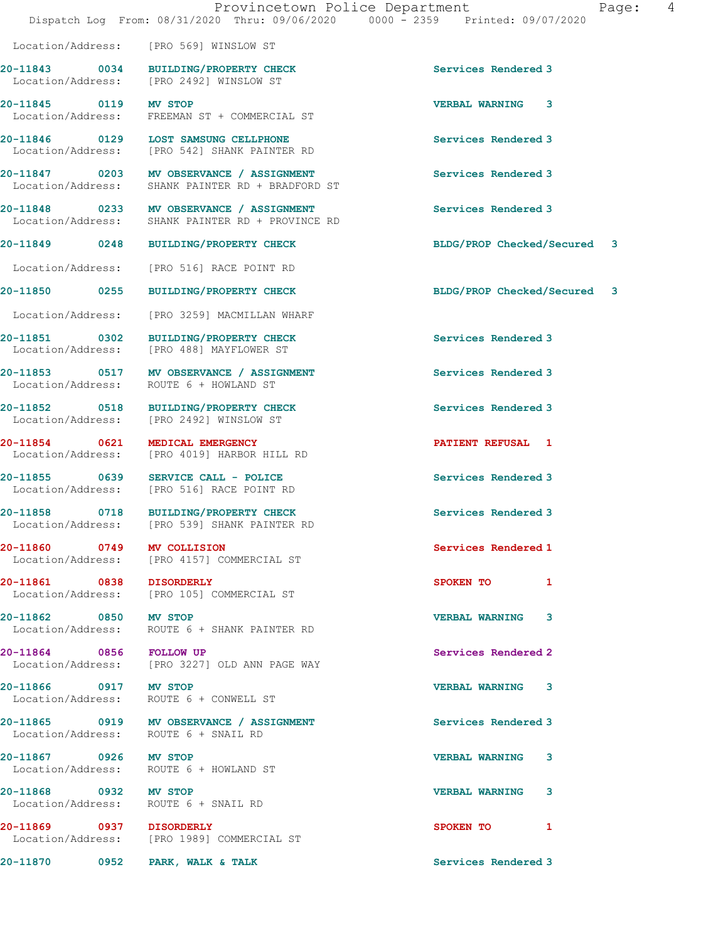|                                 | Dispatch Log From: 08/31/2020 Thru: 09/06/2020 0000 - 2359 Printed: 09/07/2020               | Provincetown Police Department<br>Page: | 4 |
|---------------------------------|----------------------------------------------------------------------------------------------|-----------------------------------------|---|
|                                 | Location/Address: [PRO 569] WINSLOW ST                                                       |                                         |   |
|                                 | 20-11843 0034 BUILDING/PROPERTY CHECK<br>Location/Address: [PRO 2492] WINSLOW ST             | Services Rendered 3                     |   |
| 20-11845 0119 MV STOP           | Location/Address: FREEMAN ST + COMMERCIAL ST                                                 | <b>VERBAL WARNING 3</b>                 |   |
|                                 | 20-11846 0129 LOST SAMSUNG CELLPHONE<br>Location/Address: [PRO 542] SHANK PAINTER RD         | Services Rendered 3                     |   |
|                                 | 20-11847 0203 MV OBSERVANCE / ASSIGNMENT<br>Location/Address: SHANK PAINTER RD + BRADFORD ST | Services Rendered 3                     |   |
|                                 | 20-11848 0233 MV OBSERVANCE / ASSIGNMENT<br>Location/Address: SHANK PAINTER RD + PROVINCE RD | Services Rendered 3                     |   |
|                                 | 20-11849 0248 BUILDING/PROPERTY CHECK                                                        | BLDG/PROP Checked/Secured 3             |   |
|                                 | Location/Address: [PRO 516] RACE POINT RD                                                    |                                         |   |
|                                 | 20-11850 0255 BUILDING/PROPERTY CHECK                                                        | BLDG/PROP Checked/Secured 3             |   |
|                                 | Location/Address: [PRO 3259] MACMILLAN WHARF                                                 |                                         |   |
|                                 | 20-11851 0302 BUILDING/PROPERTY CHECK<br>Location/Address: [PRO 488] MAYFLOWER ST            | Services Rendered 3                     |   |
|                                 | 20-11853 0517 MV OBSERVANCE / ASSIGNMENT<br>Location/Address: ROUTE 6 + HOWLAND ST           | Services Rendered 3                     |   |
|                                 | 20-11852 0518 BUILDING/PROPERTY CHECK<br>Location/Address: [PRO 2492] WINSLOW ST             | Services Rendered 3                     |   |
| 20-11854 0621 MEDICAL EMERGENCY | Location/Address: [PRO 4019] HARBOR HILL RD                                                  | <b>PATIENT REFUSAL 1</b>                |   |
|                                 | 20-11855 0639 SERVICE CALL - POLICE<br>Location/Address: [PRO 516] RACE POINT RD             | Services Rendered 3                     |   |
|                                 | 20-11858 0718 BUILDING/PROPERTY CHECK<br>Location/Address: [PRO 539] SHANK PAINTER RD        | Services Rendered 3                     |   |
| 20-11860 0749 MV COLLISION      | Location/Address: [PRO 4157] COMMERCIAL ST                                                   | Services Rendered 1                     |   |
| 20-11861 0838 DISORDERLY        | Location/Address: [PRO 105] COMMERCIAL ST                                                    | SPOKEN TO 1                             |   |
| 20-11862 0850 MV STOP           | Location/Address: ROUTE 6 + SHANK PAINTER RD                                                 | VERBAL WARNING 3                        |   |
| 20-11864 0856 FOLLOW UP         | Location/Address: [PRO 3227] OLD ANN PAGE WAY                                                | Services Rendered 2                     |   |
| 20-11866 0917 MV STOP           | Location/Address: ROUTE 6 + CONWELL ST                                                       | <b>VERBAL WARNING 3</b>                 |   |
|                                 |                                                                                              |                                         |   |
|                                 | 20-11865 0919 MV OBSERVANCE / ASSIGNMENT<br>Location/Address: ROUTE 6 + SNAIL RD             | Services Rendered 3                     |   |
| 20-11867 0926 MV STOP           | Location/Address: ROUTE 6 + HOWLAND ST                                                       | VERBAL WARNING 3                        |   |
|                                 |                                                                                              |                                         |   |
| 20-11868 0932 MV STOP           | Location/Address: ROUTE 6 + SNAIL RD                                                         | <b>VERBAL WARNING 3</b>                 |   |
| 20-11869 0937 DISORDERLY        | Location/Address: [PRO 1989] COMMERCIAL ST                                                   | SPOKEN TO 1                             |   |

20-11870 0952 PARK, WALK & TALK Services Rendered 3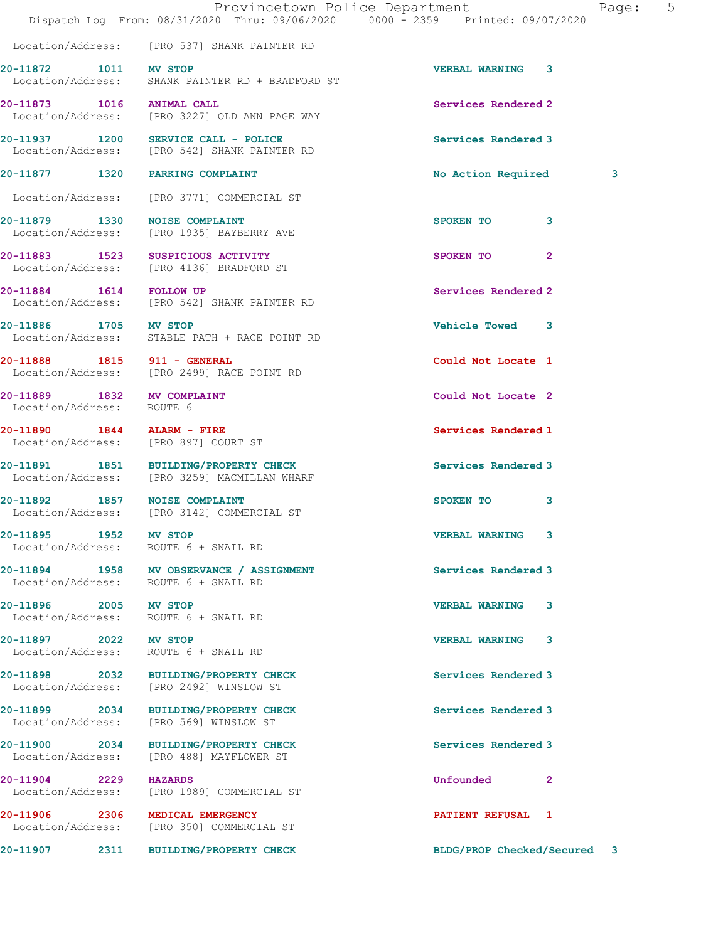|                                                               | Dispatch Log From: 08/31/2020 Thru: 09/06/2020 0000 - 2359 Printed: 09/07/2020        | Provincetown Police Department | Page: | 5 |
|---------------------------------------------------------------|---------------------------------------------------------------------------------------|--------------------------------|-------|---|
|                                                               | Location/Address: [PRO 537] SHANK PAINTER RD                                          |                                |       |   |
| 20-11872 1011 MV STOP                                         | Location/Address: SHANK PAINTER RD + BRADFORD ST                                      | <b>VERBAL WARNING 3</b>        |       |   |
| 20-11873 1016 ANIMAL CALL                                     | Location/Address: [PRO 3227] OLD ANN PAGE WAY                                         | Services Rendered 2            |       |   |
|                                                               | 20-11937 1200 SERVICE CALL - POLICE<br>Location/Address: [PRO 542] SHANK PAINTER RD   | Services Rendered 3            |       |   |
| 20-11877 1320 PARKING COMPLAINT                               |                                                                                       | No Action Required             | 3     |   |
|                                                               | Location/Address: [PRO 3771] COMMERCIAL ST                                            |                                |       |   |
| 20-11879 1330 NOISE COMPLAINT                                 | Location/Address: [PRO 1935] BAYBERRY AVE                                             | SPOKEN TO<br>3                 |       |   |
|                                                               | 20-11883 1523 SUSPICIOUS ACTIVITY<br>Location/Address: [PRO 4136] BRADFORD ST         | SPOKEN TO<br>$\overline{2}$    |       |   |
| 20-11884 1614 FOLLOW UP                                       | Location/Address: [PRO 542] SHANK PAINTER RD                                          | Services Rendered 2            |       |   |
| 20-11886 1705 MV STOP                                         | Location/Address: STABLE PATH + RACE POINT RD                                         | Vehicle Towed 3                |       |   |
| 20-11888 1815 911 - GENERAL                                   | Location/Address: [PRO 2499] RACE POINT RD                                            | Could Not Locate 1             |       |   |
| 20-11889 1832 MV COMPLAINT<br>Location/Address: ROUTE 6       |                                                                                       | Could Not Locate 2             |       |   |
| Location/Address: [PRO 897] COURT ST                          | 20-11890 1844 ALARM - FIRE                                                            | Services Rendered 1            |       |   |
|                                                               | 20-11891 1851 BUILDING/PROPERTY CHECK<br>Location/Address: [PRO 3259] MACMILLAN WHARF | Services Rendered 3            |       |   |
|                                                               | 20-11892 1857 NOISE COMPLAINT<br>Location/Address: [PRO 3142] COMMERCIAL ST           | SPOKEN TO<br>3                 |       |   |
| 20-11895 1952 MV STOP                                         | Location/Address: ROUTE 6 + SNAIL RD                                                  | <b>VERBAL WARNING</b>          |       |   |
| Location/Address: ROUTE 6 + SNAIL RD                          | 20-11894 1958 MV OBSERVANCE / ASSIGNMENT                                              | Services Rendered 3            |       |   |
| 20-11896 2005 MV STOP<br>Location/Address: ROUTE 6 + SNAIL RD |                                                                                       | <b>VERBAL WARNING 3</b>        |       |   |
| 20-11897 2022 MV STOP<br>Location/Address: ROUTE 6 + SNAIL RD |                                                                                       | <b>VERBAL WARNING</b><br>3     |       |   |
|                                                               | 20-11898 2032 BUILDING/PROPERTY CHECK<br>Location/Address: [PRO 2492] WINSLOW ST      | Services Rendered 3            |       |   |
|                                                               | 20-11899 2034 BUILDING/PROPERTY CHECK<br>Location/Address: [PRO 569] WINSLOW ST       | Services Rendered 3            |       |   |
| 20-11900 2034                                                 | BUILDING/PROPERTY CHECK<br>Location/Address: [PRO 488] MAYFLOWER ST                   | Services Rendered 3            |       |   |
| 20-11904 2229 HAZARDS                                         | Location/Address: [PRO 1989] COMMERCIAL ST                                            | Unfounded<br>2                 |       |   |
| 20-11906 2306 MEDICAL EMERGENCY                               | Location/Address: [PRO 350] COMMERCIAL ST                                             | <b>PATIENT REFUSAL 1</b>       |       |   |
|                                                               | 20-11907 2311 BUILDING/PROPERTY CHECK                                                 | BLDG/PROP Checked/Secured 3    |       |   |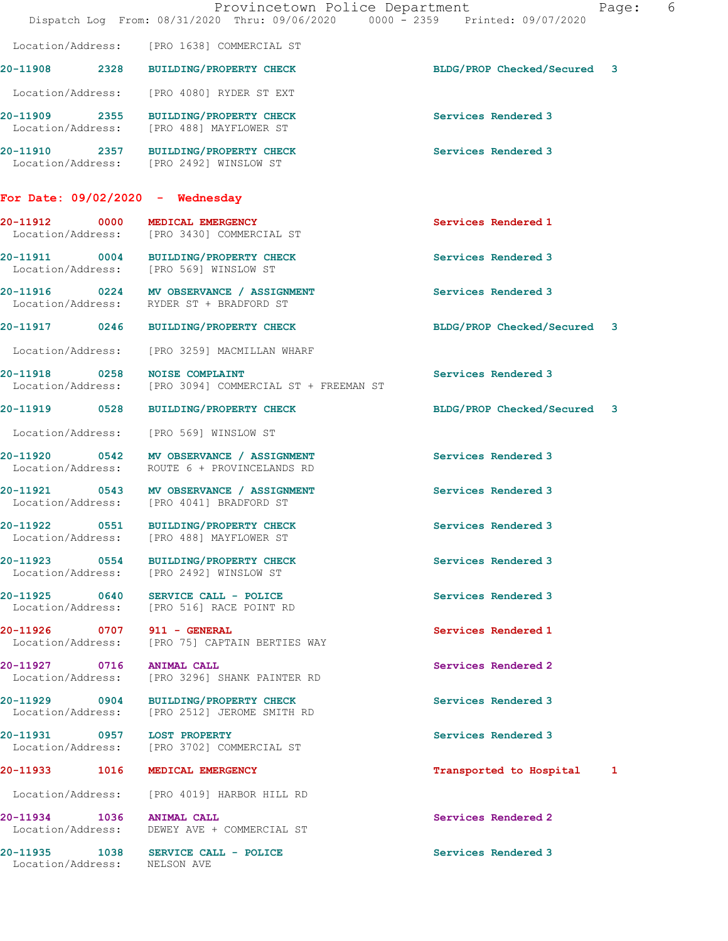|                                    | Dispatch Log From: 08/31/2020 Thru: 09/06/2020 0000 - 2359 Printed: 09/07/2020           | Provincetown Police Department | Page: | - 6 |
|------------------------------------|------------------------------------------------------------------------------------------|--------------------------------|-------|-----|
|                                    | Location/Address: [PRO 1638] COMMERCIAL ST                                               |                                |       |     |
|                                    | 20-11908 2328 BUILDING/PROPERTY CHECK                                                    | BLDG/PROP Checked/Secured 3    |       |     |
|                                    | Location/Address: [PRO 4080] RYDER ST EXT                                                |                                |       |     |
|                                    | 20-11909 2355 BUILDING/PROPERTY CHECK<br>Location/Address: [PRO 488] MAYFLOWER ST        | Services Rendered 3            |       |     |
|                                    | 20-11910 2357 BUILDING/PROPERTY CHECK<br>Location/Address: [PRO 2492] WINSLOW ST         | Services Rendered 3            |       |     |
|                                    | For Date: $09/02/2020 -$ Wednesday                                                       |                                |       |     |
|                                    | 20-11912 0000 MEDICAL EMERGENCY<br>Location/Address: [PRO 3430] COMMERCIAL ST            | Services Rendered 1            |       |     |
|                                    | 20-11911 0004 BUILDING/PROPERTY CHECK<br>Location/Address: [PRO 569] WINSLOW ST          | Services Rendered 3            |       |     |
|                                    | 20-11916 0224 MV OBSERVANCE / ASSIGNMENT<br>Location/Address: RYDER ST + BRADFORD ST     | Services Rendered 3            |       |     |
|                                    | 20-11917 0246 BUILDING/PROPERTY CHECK                                                    | BLDG/PROP Checked/Secured 3    |       |     |
|                                    | Location/Address: [PRO 3259] MACMILLAN WHARF                                             |                                |       |     |
| 20-11918 0258<br>Location/Address: | <b>NOISE COMPLAINT</b><br>[PRO 3094] COMMERCIAL ST + FREEMAN ST                          | Services Rendered 3            |       |     |
| 20-11919 0528                      | BUILDING/PROPERTY CHECK                                                                  | BLDG/PROP Checked/Secured 3    |       |     |
|                                    | Location/Address: [PRO 569] WINSLOW ST                                                   |                                |       |     |
|                                    | 20-11920 0542 MV OBSERVANCE / ASSIGNMENT<br>Location/Address: ROUTE 6 + PROVINCELANDS RD | Services Rendered 3            |       |     |
|                                    | 20-11921 0543 MV OBSERVANCE / ASSIGNMENT<br>Location/Address: [PRO 4041] BRADFORD ST     | Services Rendered 3            |       |     |
| Location/Address:                  | 20-11922 0551 BUILDING/PROPERTY CHECK<br>[PRO 488] MAYFLOWER ST                          | Services Rendered 3            |       |     |
| 20-11923 0554                      | <b>BUILDING/PROPERTY CHECK</b><br>Location/Address: [PRO 2492] WINSLOW ST                | Services Rendered 3            |       |     |
|                                    | 20-11925 0640 SERVICE CALL - POLICE<br>Location/Address: [PRO 516] RACE POINT RD         | Services Rendered 3            |       |     |
| 20-11926 0707 911 - GENERAL        | Location/Address: [PRO 75] CAPTAIN BERTIES WAY                                           | Services Rendered 1            |       |     |
| 20-11927 0716                      | <b>ANIMAL CALL</b><br>Location/Address: [PRO 3296] SHANK PAINTER RD                      | Services Rendered 2            |       |     |
|                                    | 20-11929 0904 BUILDING/PROPERTY CHECK<br>Location/Address: [PRO 2512] JEROME SMITH RD    | Services Rendered 3            |       |     |
| 20-11931 0957 LOST PROPERTY        | Location/Address: [PRO 3702] COMMERCIAL ST                                               | Services Rendered 3            |       |     |
| 20-11933 1016                      | MEDICAL EMERGENCY                                                                        | Transported to Hospital 1      |       |     |
| Location/Address:                  | [PRO 4019] HARBOR HILL RD                                                                |                                |       |     |
| 20-11934 1036                      | <b>ANIMAL CALL</b><br>Location/Address: DEWEY AVE + COMMERCIAL ST                        | Services Rendered 2            |       |     |
|                                    | 20-11935 1038 SERVICE CALL - POLICE                                                      | Services Rendered 3            |       |     |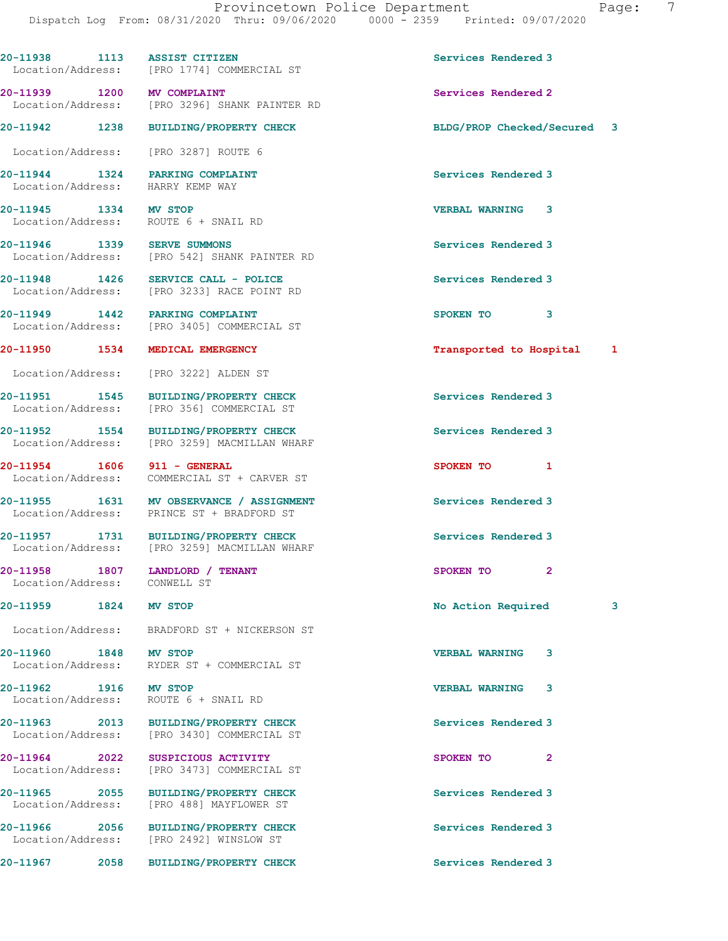|                                                  |      | 20-11938 1113 ASSIST CITIZEN<br>Location/Address: [PRO 1774] COMMERCIAL ST            | Services Rendered 3         |   |
|--------------------------------------------------|------|---------------------------------------------------------------------------------------|-----------------------------|---|
| 20-11939 1200 MV COMPLAINT                       |      | Location/Address: [PRO 3296] SHANK PAINTER RD                                         | Services Rendered 2         |   |
|                                                  |      | 20-11942 1238 BUILDING/PROPERTY CHECK                                                 | BLDG/PROP Checked/Secured   | 3 |
| Location/Address:                                |      | [PRO 3287] ROUTE 6                                                                    |                             |   |
| Location/Address:                                |      | 20-11944 1324 PARKING COMPLAINT<br>HARRY KEMP WAY                                     | Services Rendered 3         |   |
| 20-11945 1334 MV STOP                            |      | Location/Address: ROUTE 6 + SNAIL RD                                                  | <b>VERBAL WARNING</b><br>3  |   |
| 20-11946 1339 SERVE SUMMONS                      |      | Location/Address: [PRO 542] SHANK PAINTER RD                                          | Services Rendered 3         |   |
|                                                  |      | 20-11948 1426 SERVICE CALL - POLICE<br>Location/Address: [PRO 3233] RACE POINT RD     | Services Rendered 3         |   |
| Location/Address:                                |      | 20-11949 1442 PARKING COMPLAINT<br>[PRO 3405] COMMERCIAL ST                           | SPOKEN TO<br>3              |   |
| 20-11950 1534                                    |      | MEDICAL EMERGENCY                                                                     | Transported to Hospital 1   |   |
| Location/Address:                                |      | [PRO 3222] ALDEN ST                                                                   |                             |   |
| Location/Address:                                |      | 20-11951 1545 BUILDING/PROPERTY CHECK<br>[PRO 356] COMMERCIAL ST                      | Services Rendered 3         |   |
| 20-11952 1554<br>Location/Address:               |      | <b>BUILDING/PROPERTY CHECK</b><br>[PRO 3259] MACMILLAN WHARF                          | Services Rendered 3         |   |
| 20-11954 1606 911 - GENERAL<br>Location/Address: |      | COMMERCIAL ST + CARVER ST                                                             | SPOKEN TO<br>$\mathbf{1}$   |   |
| Location/Address:                                |      | 20-11955 1631 MV OBSERVANCE / ASSIGNMENT<br>PRINCE ST + BRADFORD ST                   | Services Rendered 3         |   |
|                                                  |      | 20-11957 1731 BUILDING/PROPERTY CHECK<br>Location/Address: [PRO 3259] MACMILLAN WHARF | Services Rendered 3         |   |
| Location/Address: CONWELL ST                     |      | 20-11958 1807 LANDLORD / TENANT                                                       | $\overline{2}$<br>SPOKEN TO |   |
| 20-11959 1824                                    |      | MV STOP                                                                               | No Action Required          | 3 |
| Location/Address:                                |      | BRADFORD ST + NICKERSON ST                                                            |                             |   |
| 20-11960 1848<br>Location/Address:               |      | MV STOP<br>RYDER ST + COMMERCIAL ST                                                   | <b>VERBAL WARNING</b><br>3  |   |
| 20-11962 1916 MV STOP<br>Location/Address:       |      | ROUTE 6 + SNAIL RD                                                                    | <b>VERBAL WARNING</b><br>3  |   |
| 20-11963 2013<br>Location/Address:               |      | BUILDING/PROPERTY CHECK<br>[PRO 3430] COMMERCIAL ST                                   | Services Rendered 3         |   |
| 20-11964 2022<br>Location/Address:               |      | SUSPICIOUS ACTIVITY<br>[PRO 3473] COMMERCIAL ST                                       | SPOKEN TO<br>$\mathbf{2}$   |   |
| 20-11965 2055<br>Location/Address:               |      | <b>BUILDING/PROPERTY CHECK</b><br>[PRO 488] MAYFLOWER ST                              | Services Rendered 3         |   |
| 20-11966 2056<br>Location/Address:               |      | <b>BUILDING/PROPERTY CHECK</b><br>[PRO 2492] WINSLOW ST                               | Services Rendered 3         |   |
| 20-11967                                         | 2058 | <b>BUILDING/PROPERTY CHECK</b>                                                        | Services Rendered 3         |   |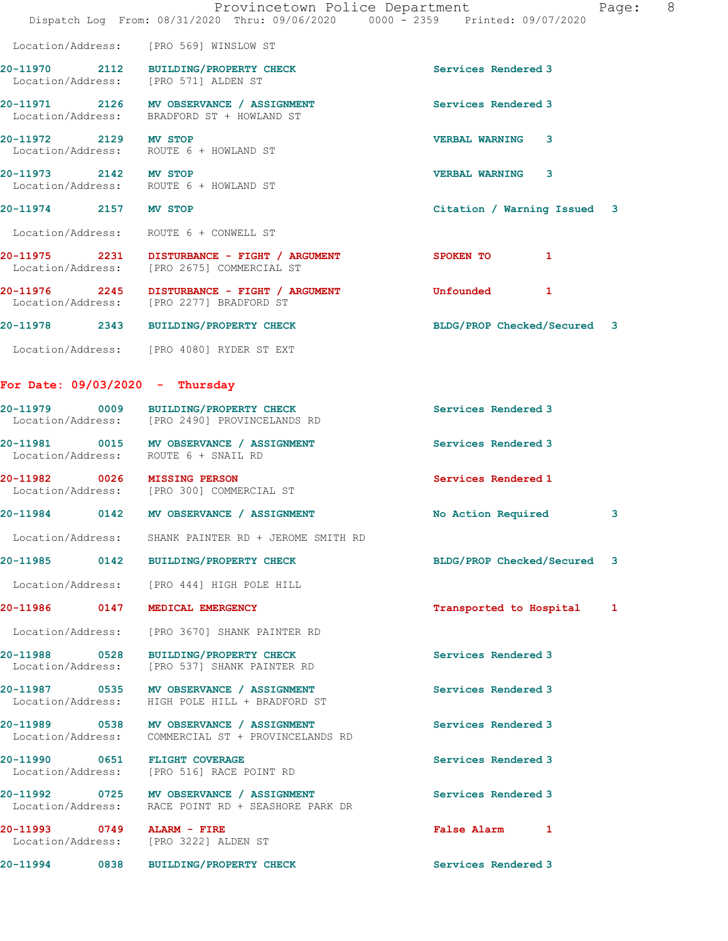|                                   |      | Provincetown Police Department<br>Dispatch Log From: 08/31/2020 Thru: 09/06/2020 0000 - 2359 Printed: 09/07/2020 |                             | 8<br>Page: |
|-----------------------------------|------|------------------------------------------------------------------------------------------------------------------|-----------------------------|------------|
|                                   |      | Location/Address: [PRO 569] WINSLOW ST                                                                           |                             |            |
|                                   |      | 20-11970 2112 BUILDING/PROPERTY CHECK<br>Location/Address: [PRO 571] ALDEN ST                                    | Services Rendered 3         |            |
|                                   |      | 20-11971 2126 MV OBSERVANCE / ASSIGNMENT<br>Location/Address: BRADFORD ST + HOWLAND ST                           | Services Rendered 3         |            |
| 20-11972 2129 MV STOP             |      | Location/Address: ROUTE 6 + HOWLAND ST                                                                           | <b>VERBAL WARNING 3</b>     |            |
| 20-11973 2142 MV STOP             |      | Location/Address: ROUTE 6 + HOWLAND ST                                                                           | VERBAL WARNING 3            |            |
| 20-11974 2157 MV STOP             |      |                                                                                                                  | Citation / Warning Issued 3 |            |
|                                   |      | Location/Address: ROUTE 6 + CONWELL ST                                                                           |                             |            |
|                                   |      | 20-11975 2231 DISTURBANCE - FIGHT / ARGUMENT<br>Location/Address: [PRO 2675] COMMERCIAL ST                       | SPOKEN TO<br>$\mathbf{1}$   |            |
|                                   |      | 20-11976 2245 DISTURBANCE - FIGHT / ARGUMENT<br>Location/Address: [PRO 2277] BRADFORD ST                         | Unfounded 1                 |            |
|                                   |      | 20-11978 2343 BUILDING/PROPERTY CHECK                                                                            | BLDG/PROP Checked/Secured 3 |            |
|                                   |      | Location/Address: [PRO 4080] RYDER ST EXT                                                                        |                             |            |
| For Date: $09/03/2020 -$ Thursday |      |                                                                                                                  |                             |            |
|                                   |      | 20-11979 0009 BUILDING/PROPERTY CHECK<br>Location/Address: [PRO 2490] PROVINCELANDS RD                           | Services Rendered 3         |            |
|                                   |      | 20-11981 0015 MV OBSERVANCE / ASSIGNMENT<br>Location/Address: ROUTE 6 + SNAIL RD                                 | Services Rendered 3         |            |
|                                   |      | 20-11982 0026 MISSING PERSON<br>Location/Address: [PRO 300] COMMERCIAL ST                                        | Services Rendered 1         |            |
|                                   |      | 20-11984 0142 MV OBSERVANCE / ASSIGNMENT                                                                         | No Action Required          | 3          |
| Location/Address:                 |      | SHANK PAINTER RD + JEROME SMITH RD                                                                               |                             |            |
| 20-11985                          | 0142 | <b>BUILDING/PROPERTY CHECK</b>                                                                                   | BLDG/PROP Checked/Secured 3 |            |
|                                   |      | Location/Address: [PRO 444] HIGH POLE HILL                                                                       |                             |            |
| 20-11986 0147                     |      | MEDICAL EMERGENCY                                                                                                | Transported to Hospital     | 1          |
| Location/Address:                 |      | [PRO 3670] SHANK PAINTER RD                                                                                      |                             |            |
| 20-11988 0528                     |      | BUILDING/PROPERTY CHECK<br>Location/Address: [PRO 537] SHANK PAINTER RD                                          | Services Rendered 3         |            |
| Location/Address:                 |      | 20-11987 0535 MV OBSERVANCE / ASSIGNMENT<br>HIGH POLE HILL + BRADFORD ST                                         | Services Rendered 3         |            |
|                                   |      | 20-11989 0538 MV OBSERVANCE / ASSIGNMENT<br>Location/Address: COMMERCIAL ST + PROVINCELANDS RD                   | Services Rendered 3         |            |
|                                   |      | 20-11990 0651 FLIGHT COVERAGE<br>Location/Address: [PRO 516] RACE POINT RD                                       | Services Rendered 3         |            |
|                                   |      | 20-11992 0725 MV OBSERVANCE / ASSIGNMENT<br>Location/Address: RACE POINT RD + SEASHORE PARK DR                   | Services Rendered 3         |            |
| 20-11993 0749                     |      | <b>ALARM - FIRE</b><br>Location/Address: [PRO 3222] ALDEN ST                                                     | False Alarm 1               |            |
|                                   |      | 20-11994 0838 BUILDING/PROPERTY CHECK                                                                            | Services Rendered 3         |            |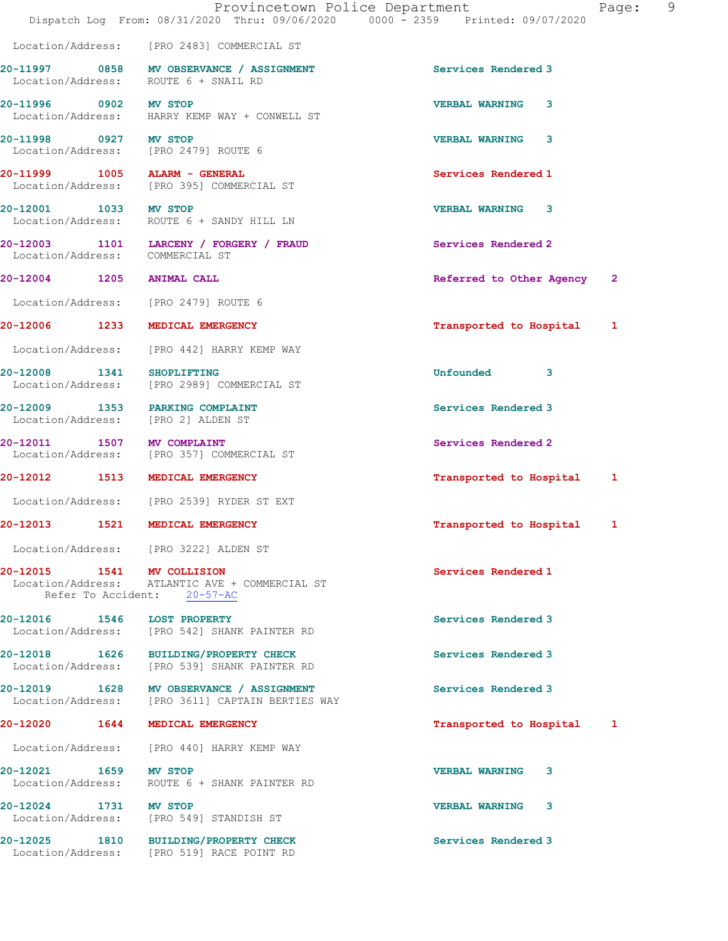|                                    | Provincetown Police Department<br>Dispatch Log From: 08/31/2020 Thru: 09/06/2020 0000 - 2359 Printed: 09/07/2020 |                            | 9<br>Page:   |  |
|------------------------------------|------------------------------------------------------------------------------------------------------------------|----------------------------|--------------|--|
|                                    | Location/Address: [PRO 2483] COMMERCIAL ST                                                                       |                            |              |  |
|                                    | 20-11997 0858 MV OBSERVANCE / ASSIGNMENT<br>Location/Address: ROUTE 6 + SNAIL RD                                 | Services Rendered 3        |              |  |
| 20-11996 0902 MV STOP              | Location/Address: HARRY KEMP WAY + CONWELL ST                                                                    | <b>VERBAL WARNING</b><br>3 |              |  |
| 20-11998 0927 MV STOP              | Location/Address: [PRO 2479] ROUTE 6                                                                             | <b>VERBAL WARNING 3</b>    |              |  |
| 20-11999 1005 ALARM - GENERAL      | Location/Address: [PRO 395] COMMERCIAL ST                                                                        | Services Rendered 1        |              |  |
| 20-12001 1033 MV STOP              | Location/Address: ROUTE 6 + SANDY HILL LN                                                                        | <b>VERBAL WARNING 3</b>    |              |  |
|                                    | 20-12003 1101 LARCENY / FORGERY / FRAUD<br>Location/Address: COMMERCIAL ST                                       | Services Rendered 2        |              |  |
| 20-12004 1205 ANIMAL CALL          |                                                                                                                  | Referred to Other Agency   | $\mathbf{2}$ |  |
|                                    | Location/Address: [PRO 2479] ROUTE 6                                                                             |                            |              |  |
|                                    | 20-12006 1233 MEDICAL EMERGENCY                                                                                  | Transported to Hospital    | 1            |  |
|                                    | Location/Address: [PRO 442] HARRY KEMP WAY                                                                       |                            |              |  |
|                                    | 20-12008 1341 SHOPLIFTING<br>Location/Address: [PRO 2989] COMMERCIAL ST                                          | Unfounded<br>-3            |              |  |
| Location/Address: [PRO 2] ALDEN ST | 20-12009 1353 PARKING COMPLAINT                                                                                  | Services Rendered 3        |              |  |
| 20-12011 1507 MV COMPLAINT         | Location/Address: [PRO 357] COMMERCIAL ST                                                                        | Services Rendered 2        |              |  |
|                                    | 20-12012 1513 MEDICAL EMERGENCY                                                                                  | Transported to Hospital    | 1            |  |
|                                    | Location/Address: [PRO 2539] RYDER ST EXT                                                                        |                            |              |  |
| 20-12013                           | 1521 MEDICAL EMERGENCY                                                                                           | Transported to Hospital    | 1            |  |
|                                    | Location/Address: [PRO 3222] ALDEN ST                                                                            |                            |              |  |
| 20-12015  1541  MV COLLISION       | Location/Address: ATLANTIC AVE + COMMERCIAL ST<br>Refer To Accident: 20-57-AC                                    | Services Rendered 1        |              |  |
| 20-12016 1546 LOST PROPERTY        | Location/Address: [PRO 542] SHANK PAINTER RD                                                                     | Services Rendered 3        |              |  |
|                                    | 20-12018 1626 BUILDING/PROPERTY CHECK<br>Location/Address: [PRO 539] SHANK PAINTER RD                            | Services Rendered 3        |              |  |
|                                    | 20-12019 1628 MV OBSERVANCE / ASSIGNMENT<br>Location/Address: [PRO 3611] CAPTAIN BERTIES WAY                     | Services Rendered 3        |              |  |
|                                    | 20-12020 1644 MEDICAL EMERGENCY                                                                                  | Transported to Hospital 1  |              |  |
|                                    | Location/Address: [PRO 440] HARRY KEMP WAY                                                                       |                            |              |  |
| 20-12021 1659 MV STOP              | Location/Address: ROUTE 6 + SHANK PAINTER RD                                                                     | <b>VERBAL WARNING</b><br>3 |              |  |
| 20-12024 1731 MV STOP              | Location/Address: [PRO 549] STANDISH ST                                                                          | <b>VERBAL WARNING 3</b>    |              |  |
|                                    | 20-12025 1810 BUILDING/PROPERTY CHECK<br>Location/Address: [PRO 519] RACE POINT RD                               | Services Rendered 3        |              |  |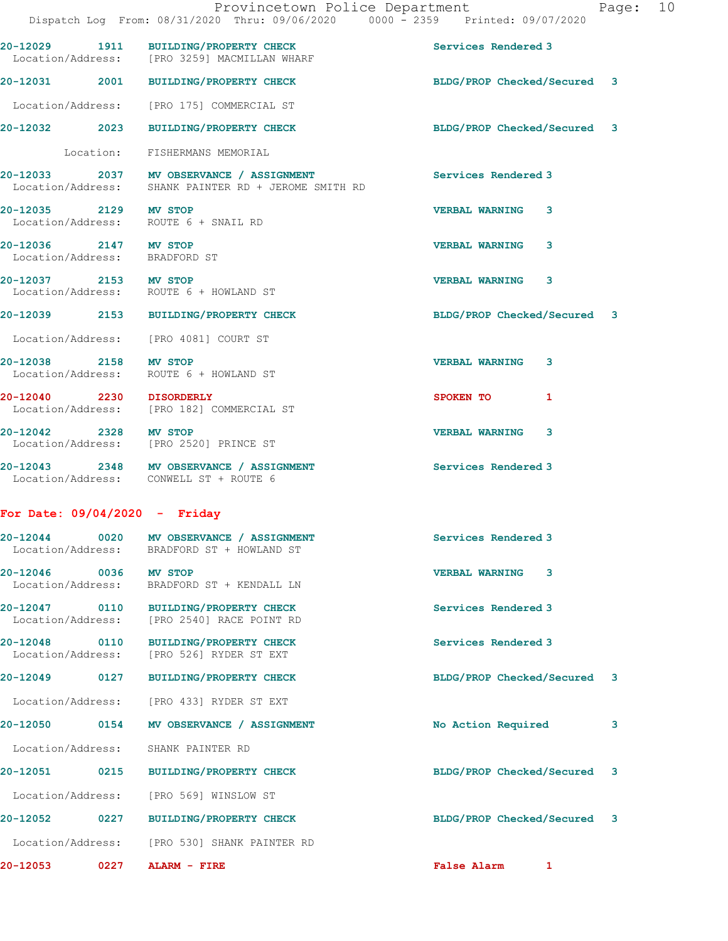20-12029 1911 BUILDING/PROPERTY CHECK Services Rendered 3 Location/Address: [PRO 3259] MACMILLAN WHARF 20-12031 2001 BUILDING/PROPERTY CHECK BLDG/PROP Checked/Secured 3 Location/Address: [PRO 175] COMMERCIAL ST 20-12032 2023 BUILDING/PROPERTY CHECK BLDG/PROP Checked/Secured 3 Location: FISHERMANS MEMORIAL 20-12033 2037 MV OBSERVANCE / ASSIGNMENT Services Rendered 3 Location/Address: SHANK PAINTER RD + JEROME SMITH RD 20-12035 2129 MV STOP VERBAL WARNING 3 Location/Address: ROUTE 6 + SNAIL RD 20-12036 2147 MV STOP VERBAL WARNING 3 Location/Address: BRADFORD ST 20-12037 2153 MV STOP VERBAL WARNING 3 Location/Address: ROUTE 6 + HOWLAND ST 20-12039 2153 BUILDING/PROPERTY CHECK BLDG/PROP Checked/Secured 3 Location/Address: [PRO 4081] COURT ST 20-12038 2158 MV STOP VERBAL WARNING 3 Location/Address: ROUTE 6 + HOWLAND ST 20-12040 2230 DISORDERLY SPOKEN TO 1 Location/Address: [PRO 182] COMMERCIAL ST 20-12042 2328 MV STOP VERBAL WARNING 3 Location/Address: [PRO 2520] PRINCE ST 20-12043 2348 MV OBSERVANCE / ASSIGNMENT Services Rendered 3 Location/Address: CONWELL ST + ROUTE 6 For Date: 09/04/2020 - Friday 20-12044 0020 MV OBSERVANCE / ASSIGNMENT Services Rendered 3 Location/Address: BRADFORD ST + HOWLAND ST 20-12046 0036 MV STOP VERBAL WARNING 3 Location/Address: BRADFORD ST + KENDALL LN 20-12047 0110 BUILDING/PROPERTY CHECK Services Rendered 3 Location/Address: [PRO 2540] RACE POINT RD 20-12048 0110 BUILDING/PROPERTY CHECK Services Rendered 3 Location/Address: [PRO 526] RYDER ST EXT 20-12049 0127 BUILDING/PROPERTY CHECK BLDG/PROP Checked/Secured 3 Location/Address: [PRO 433] RYDER ST EXT 20-12050 0154 MV OBSERVANCE / ASSIGNMENT No Action Required 3 Location/Address: SHANK PAINTER RD 20-12051 0215 BUILDING/PROPERTY CHECK BLDG/PROP Checked/Secured 3 Location/Address: [PRO 569] WINSLOW ST

20-12052 0227 BUILDING/PROPERTY CHECK BLDG/PROP Checked/Secured 3

Location/Address: [PRO 530] SHANK PAINTER RD

20-12053 0227 ALARM - FIRE False Alarm 1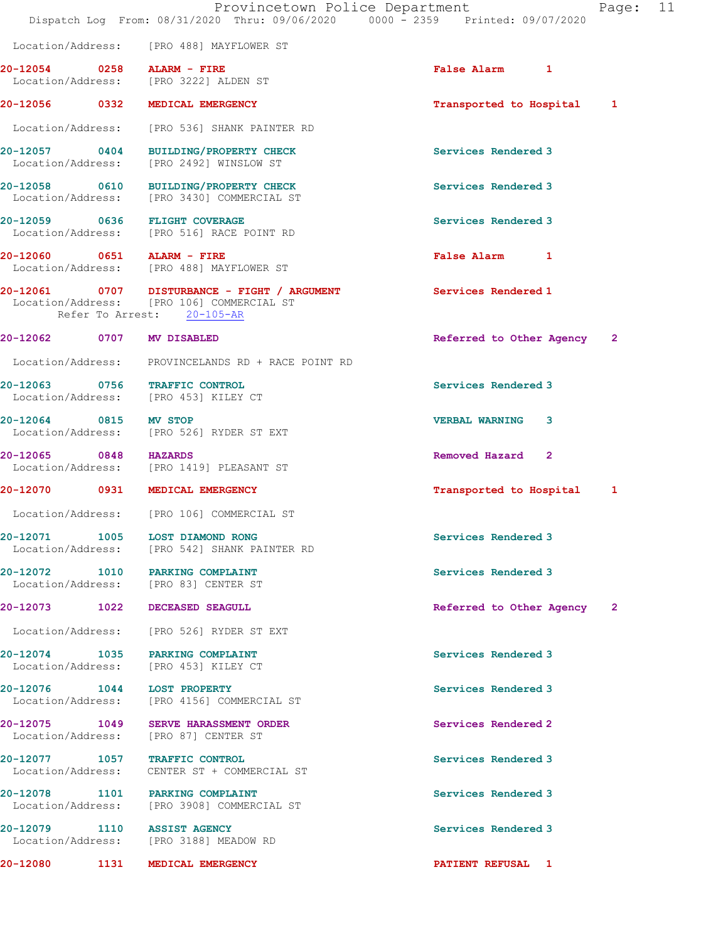|                           |      | Provincetown Police Department<br>Dispatch Log From: 08/31/2020 Thru: 09/06/2020 0000 - 2359 Printed: 09/07/2020        |                            | Page: 11 |  |
|---------------------------|------|-------------------------------------------------------------------------------------------------------------------------|----------------------------|----------|--|
|                           |      | Location/Address: [PRO 488] MAYFLOWER ST                                                                                |                            |          |  |
|                           |      | $20-12054$ 0258 ALARM - FIRE<br>Location/Address: [PRO 3222] ALDEN ST                                                   | False Alarm 1              |          |  |
|                           |      | 20-12056 0332 MEDICAL EMERGENCY                                                                                         | Transported to Hospital 1  |          |  |
|                           |      | Location/Address: [PRO 536] SHANK PAINTER RD                                                                            |                            |          |  |
|                           |      | 20-12057 0404 BUILDING/PROPERTY CHECK<br>Location/Address: [PRO 2492] WINSLOW ST                                        | Services Rendered 3        |          |  |
|                           |      | 20-12058 0610 BUILDING/PROPERTY CHECK<br>Location/Address: [PRO 3430] COMMERCIAL ST                                     | Services Rendered 3        |          |  |
|                           |      | 20-12059 0636 FLIGHT COVERAGE<br>Location/Address: [PRO 516] RACE POINT RD                                              | Services Rendered 3        |          |  |
|                           |      | 20-12060 0651 ALARM - FIRE<br>Location/Address: [PRO 488] MAYFLOWER ST                                                  | False Alarm 1              |          |  |
|                           |      | 20-12061 0707 DISTURBANCE - FIGHT / ARGUMENT<br>Location/Address: [PRO 106] COMMERCIAL ST<br>Refer To Arrest: 20-105-AR | Services Rendered 1        |          |  |
| 20-12062 0707 MV DISABLED |      |                                                                                                                         | Referred to Other Agency 2 |          |  |
|                           |      | Location/Address: PROVINCELANDS RD + RACE POINT RD                                                                      |                            |          |  |
|                           |      | 20-12063 0756 TRAFFIC CONTROL<br>Location/Address: [PRO 453] KILEY CT                                                   | Services Rendered 3        |          |  |
| 20-12064 0815 MV STOP     |      | Location/Address: [PRO 526] RYDER ST EXT                                                                                | <b>VERBAL WARNING 3</b>    |          |  |
| 20-12065 0848 HAZARDS     |      | Location/Address: [PRO 1419] PLEASANT ST                                                                                | Removed Hazard 2           |          |  |
|                           |      | 20-12070 0931 MEDICAL EMERGENCY                                                                                         | Transported to Hospital 1  |          |  |
|                           |      | Location/Address: [PRO 106] COMMERCIAL ST                                                                               |                            |          |  |
|                           |      | 20-12071 1005 LOST DIAMOND RONG<br>Location/Address: [PRO 542] SHANK PAINTER RD                                         | Services Rendered 3        |          |  |
|                           |      | 20-12072 1010 PARKING COMPLAINT<br>Location/Address: [PRO 83] CENTER ST                                                 | Services Rendered 3        |          |  |
|                           |      | 20-12073 1022 DECEASED SEAGULL                                                                                          | Referred to Other Agency 2 |          |  |
|                           |      | Location/Address: [PRO 526] RYDER ST EXT                                                                                |                            |          |  |
|                           |      | 20-12074 1035 PARKING COMPLAINT<br>Location/Address: [PRO 453] KILEY CT                                                 | Services Rendered 3        |          |  |
|                           |      | 20-12076   1044   LOST PROPERTY<br>Location/Address: [PRO 4156] COMMERCIAL ST                                           | Services Rendered 3        |          |  |
| Location/Address:         |      | 20-12075 1049 SERVE HARASSMENT ORDER<br>[PRO 87] CENTER ST                                                              | Services Rendered 2        |          |  |
|                           |      | 20-12077 1057 TRAFFIC CONTROL<br>Location/Address: CENTER ST + COMMERCIAL ST                                            | Services Rendered 3        |          |  |
|                           |      | 20-12078 1101 PARKING COMPLAINT<br>Location/Address: [PRO 3908] COMMERCIAL ST                                           | Services Rendered 3        |          |  |
|                           |      | 20-12079 1110 ASSIST AGENCY<br>Location/Address: [PRO 3188] MEADOW RD                                                   | Services Rendered 3        |          |  |
| 20-12080                  | 1131 | MEDICAL EMERGENCY                                                                                                       | PATIENT REFUSAL 1          |          |  |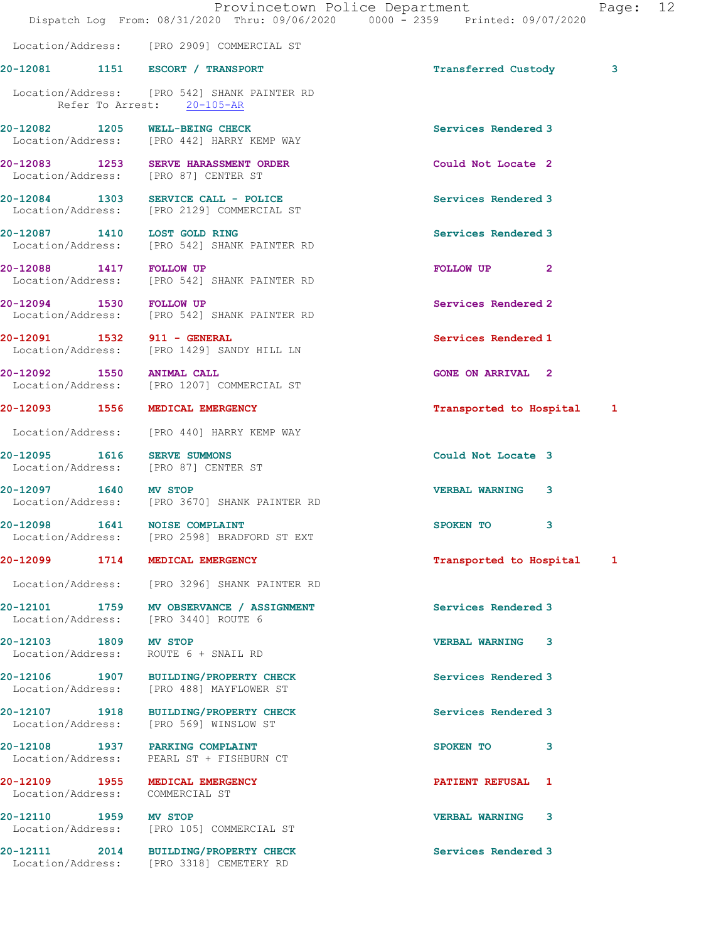|                                            | Provincetown Police Department<br>Dispatch Log From: 08/31/2020 Thru: 09/06/2020 0000 - 2359 Printed: 09/07/2020 |                            | Page: 12 |  |
|--------------------------------------------|------------------------------------------------------------------------------------------------------------------|----------------------------|----------|--|
|                                            |                                                                                                                  |                            |          |  |
|                                            | Location/Address: [PRO 2909] COMMERCIAL ST                                                                       |                            |          |  |
|                                            | 20-12081 1151 ESCORT / TRANSPORT                                                                                 | Transferred Custody        | 3        |  |
|                                            | Location/Address: [PRO 542] SHANK PAINTER RD<br>Refer To Arrest: 20-105-AR                                       |                            |          |  |
|                                            | 20-12082 1205 WELL-BEING CHECK<br>Location/Address: [PRO 442] HARRY KEMP WAY                                     | Services Rendered 3        |          |  |
|                                            | 20-12083 1253 SERVE HARASSMENT ORDER<br>Location/Address: [PRO 87] CENTER ST                                     | Could Not Locate 2         |          |  |
|                                            | 20-12084 1303 SERVICE CALL - POLICE<br>Location/Address: [PRO 2129] COMMERCIAL ST                                | Services Rendered 3        |          |  |
|                                            | 20-12087 1410 LOST GOLD RING<br>Location/Address: [PRO 542] SHANK PAINTER RD                                     | Services Rendered 3        |          |  |
| 20-12088 1417 FOLLOW UP                    | Location/Address: [PRO 542] SHANK PAINTER RD                                                                     | FOLLOW UP <sub>2</sub>     |          |  |
| 20-12094 1530 FOLLOW UP                    | Location/Address: [PRO 542] SHANK PAINTER RD                                                                     | Services Rendered 2        |          |  |
|                                            | 20-12091 1532 911 - GENERAL<br>Location/Address: [PRO 1429] SANDY HILL LN                                        | Services Rendered 1        |          |  |
| 20-12092 1550 ANIMAL CALL                  | Location/Address: [PRO 1207] COMMERCIAL ST                                                                       | <b>GONE ON ARRIVAL 2</b>   |          |  |
|                                            | 20-12093 1556 MEDICAL EMERGENCY                                                                                  | Transported to Hospital 1  |          |  |
|                                            | Location/Address: [PRO 440] HARRY KEMP WAY                                                                       |                            |          |  |
|                                            | 20-12095 1616 SERVE SUMMONS<br>Location/Address: [PRO 87] CENTER ST                                              | Could Not Locate 3         |          |  |
| 20-12097 1640 MV STOP                      | Location/Address: [PRO 3670] SHANK PAINTER RD                                                                    | <b>VERBAL WARNING</b><br>3 |          |  |
|                                            | 20-12098 1641 NOISE COMPLAINT<br>Location/Address: [PRO 2598] BRADFORD ST EXT                                    | SPOKEN TO<br>3             |          |  |
|                                            | 20-12099 1714 MEDICAL EMERGENCY                                                                                  | Transported to Hospital 1  |          |  |
|                                            | Location/Address: [PRO 3296] SHANK PAINTER RD                                                                    |                            |          |  |
|                                            | 20-12101 1759 MV OBSERVANCE / ASSIGNMENT<br>Location/Address: [PRO 3440] ROUTE 6                                 | Services Rendered 3        |          |  |
| 20-12103 1809 MV STOP<br>Location/Address: | ROUTE 6 + SNAIL RD                                                                                               | VERBAL WARNING 3           |          |  |
|                                            | 20-12106 1907 BUILDING/PROPERTY CHECK<br>Location/Address: [PRO 488] MAYFLOWER ST                                | Services Rendered 3        |          |  |
|                                            | 20-12107 1918 BUILDING/PROPERTY CHECK<br>Location/Address: [PRO 569] WINSLOW ST                                  | Services Rendered 3        |          |  |
|                                            | 20-12108 1937 PARKING COMPLAINT<br>Location/Address: PEARL ST + FISHBURN CT                                      | SPOKEN TO 3                |          |  |
|                                            | 20-12109 1955 MEDICAL EMERGENCY<br>Location/Address: COMMERCIAL ST                                               | <b>PATIENT REFUSAL 1</b>   |          |  |
| 20-12110 1959 MV STOP                      | Location/Address: [PRO 105] COMMERCIAL ST                                                                        | <b>VERBAL WARNING 3</b>    |          |  |
|                                            | 20-12111 2014 BUILDING/PROPERTY CHECK<br>Location/Address: [PRO 3318] CEMETERY RD                                | Services Rendered 3        |          |  |
|                                            |                                                                                                                  |                            |          |  |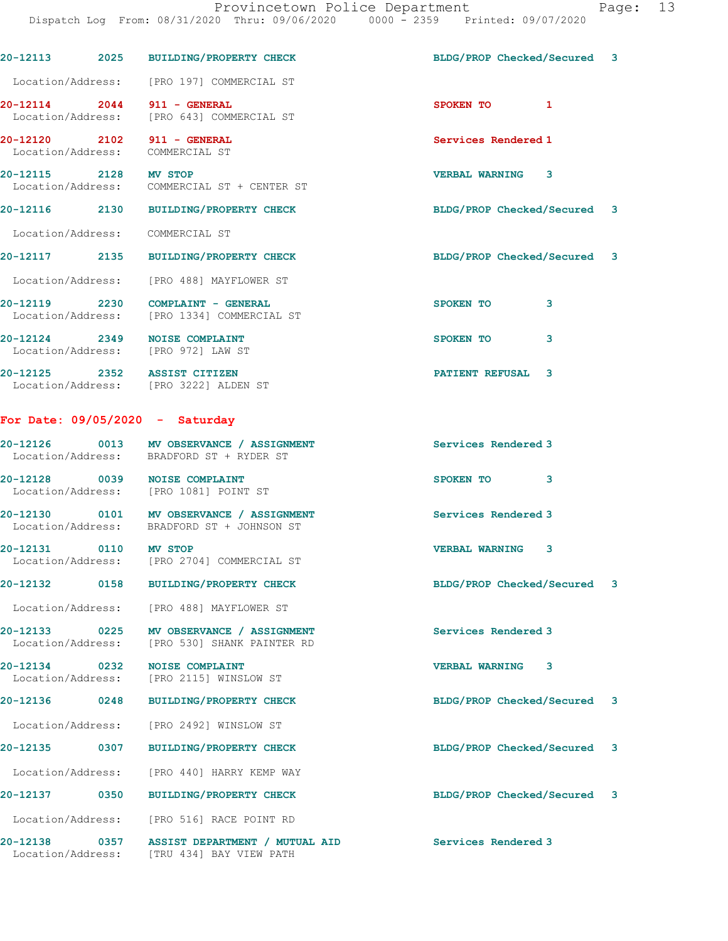|                                                                |      | 20-12113 2025 BUILDING/PROPERTY CHECK                                                  | BLDG/PROP Checked/Secured 3 |   |   |
|----------------------------------------------------------------|------|----------------------------------------------------------------------------------------|-----------------------------|---|---|
|                                                                |      | Location/Address: [PRO 197] COMMERCIAL ST                                              |                             |   |   |
|                                                                |      | 20-12114 2044 911 - GENERAL<br>Location/Address: [PRO 643] COMMERCIAL ST               | SPOKEN TO 1                 |   |   |
| 20-12120 2102 911 - GENERAL<br>Location/Address: COMMERCIAL ST |      |                                                                                        | Services Rendered 1         |   |   |
| 20-12115 2128 MV STOP                                          |      | Location/Address: COMMERCIAL ST + CENTER ST                                            | <b>VERBAL WARNING 3</b>     |   |   |
|                                                                |      | 20-12116 2130 BUILDING/PROPERTY CHECK                                                  | BLDG/PROP Checked/Secured 3 |   |   |
| Location/Address: COMMERCIAL ST                                |      |                                                                                        |                             |   |   |
|                                                                |      | 20-12117 2135 BUILDING/PROPERTY CHECK                                                  | BLDG/PROP Checked/Secured 3 |   |   |
|                                                                |      | Location/Address: [PRO 488] MAYFLOWER ST                                               |                             |   |   |
|                                                                |      | 20-12119 2230 COMPLAINT - GENERAL<br>Location/Address: [PRO 1334] COMMERCIAL ST        | SPOKEN TO                   | 3 |   |
|                                                                |      | 20-12124 2349 NOISE COMPLAINT<br>Location/Address: [PRO 972] LAW ST                    | SPOKEN TO                   | 3 |   |
|                                                                |      | 20-12125 2352 ASSIST CITIZEN<br>Location/Address: [PRO 3222] ALDEN ST                  | PATIENT REFUSAL 3           |   |   |
|                                                                |      | For Date: $09/05/2020 -$ Saturday                                                      |                             |   |   |
|                                                                |      | 20-12126 0013 MV OBSERVANCE / ASSIGNMENT<br>Location/Address: BRADFORD ST + RYDER ST   | Services Rendered 3         |   |   |
|                                                                |      | 20-12128 0039 NOISE COMPLAINT<br>Location/Address: [PRO 1081] POINT ST                 | SPOKEN TO                   | 3 |   |
|                                                                |      | 20-12130 0101 MV OBSERVANCE / ASSIGNMENT<br>Location/Address: BRADFORD ST + JOHNSON ST | Services Rendered 3         |   |   |
| 20-12131 0110 MV STOP                                          |      | Location/Address: [PRO 2704] COMMERCIAL ST                                             | <b>VERBAL WARNING 3</b>     |   |   |
| 20-12132                                                       | 0158 | <b>BUILDING/PROPERTY CHECK</b>                                                         | BLDG/PROP Checked/Secured   |   | 3 |
| Location/Address:                                              |      | [PRO 488] MAYFLOWER ST                                                                 |                             |   |   |
| 20-12133<br>Location/Address:                                  | 0225 | MV OBSERVANCE / ASSIGNMENT<br>[PRO 530] SHANK PAINTER RD                               | Services Rendered 3         |   |   |
| 20-12134<br>Location/Address:                                  | 0232 | <b>NOISE COMPLAINT</b><br>[PRO 2115] WINSLOW ST                                        | <b>VERBAL WARNING</b>       | 3 |   |
| 20-12136                                                       | 0248 | <b>BUILDING/PROPERTY CHECK</b>                                                         | BLDG/PROP Checked/Secured   |   | 3 |
| Location/Address:                                              |      | [PRO 2492] WINSLOW ST                                                                  |                             |   |   |
| 20-12135                                                       | 0307 | <b>BUILDING/PROPERTY CHECK</b>                                                         | BLDG/PROP Checked/Secured   |   | 3 |
| Location/Address:                                              |      | [PRO 440] HARRY KEMP WAY                                                               |                             |   |   |
| 20-12137                                                       | 0350 | <b>BUILDING/PROPERTY CHECK</b>                                                         | BLDG/PROP Checked/Secured   |   | 3 |
|                                                                |      |                                                                                        |                             |   |   |

Location/Address: [PRO 516] RACE POINT RD

20-12138 0357 ASSIST DEPARTMENT / MUTUAL AID Services Rendered 3 Location/Address: [TRU 434] BAY VIEW PATH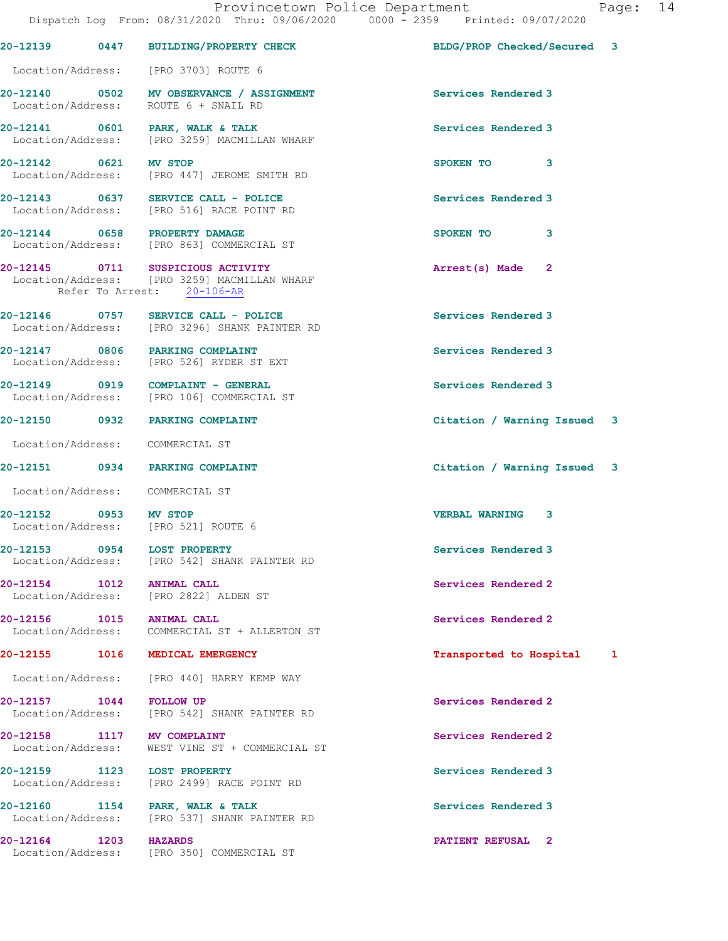|                                                 | DISPACCH LOG FIOM. 00/JI/2020 INIU. 09/00/2020                                                                  | UUUU - ZJJJ<br>FIINCEU. V9/V7/ZUZV |  |
|-------------------------------------------------|-----------------------------------------------------------------------------------------------------------------|------------------------------------|--|
|                                                 | 20-12139 0447 BUILDING/PROPERTY CHECK                                                                           | BLDG/PROP Checked/Secured 3        |  |
|                                                 | Location/Address: [PRO 3703] ROUTE 6                                                                            |                                    |  |
|                                                 | 20-12140 0502 MV OBSERVANCE / ASSIGNMENT<br>Location/Address: ROUTE 6 + SNAIL RD                                | Services Rendered 3                |  |
|                                                 | 20-12141 0601 PARK, WALK & TALK<br>Location/Address: [PRO 3259] MACMILLAN WHARF                                 | Services Rendered 3                |  |
| 20-12142 0621 MV STOP                           | Location/Address: [PRO 447] JEROME SMITH RD                                                                     | SPOKEN TO 3                        |  |
|                                                 | 20-12143 0637 SERVICE CALL - POLICE<br>Location/Address: [PRO 516] RACE POINT RD                                | Services Rendered 3                |  |
|                                                 | 20-12144 0658 PROPERTY DAMAGE<br>Location/Address: [PRO 863] COMMERCIAL ST                                      | 3<br>SPOKEN TO                     |  |
|                                                 | 20-12145 0711 SUSPICIOUS ACTIVITY<br>Location/Address: [PRO 3259] MACMILLAN WHARF<br>Refer To Arrest: 20-106-AR | Arrest(s) Made 2                   |  |
|                                                 | 20-12146 0757 SERVICE CALL - POLICE<br>Location/Address: [PRO 3296] SHANK PAINTER RD                            | Services Rendered 3                |  |
|                                                 | 20-12147 0806 PARKING COMPLAINT<br>Location/Address: [PRO 526] RYDER ST EXT                                     | Services Rendered 3                |  |
|                                                 | 20-12149 0919 COMPLAINT - GENERAL<br>Location/Address: [PRO 106] COMMERCIAL ST                                  | Services Rendered 3                |  |
|                                                 | 20-12150 0932 PARKING COMPLAINT                                                                                 | Citation / Warning Issued 3        |  |
| Location/Address: COMMERCIAL ST                 |                                                                                                                 |                                    |  |
|                                                 | 20-12151 0934 PARKING COMPLAINT                                                                                 | Citation / Warning Issued 3        |  |
| Location/Address: COMMERCIAL ST                 |                                                                                                                 |                                    |  |
| 20-12152 0953 MV STOP                           | Location/Address: [PRO 521] ROUTE 6                                                                             | <b>VERBAL WARNING 3</b>            |  |
| 20-12153                                        | 0954 LOST PROPERTY<br>Location/Address: [PRO 542] SHANK PAINTER RD                                              | Services Rendered 3                |  |
| 20-12154 1012 ANIMAL CALL                       | Location/Address: [PRO 2822] ALDEN ST                                                                           | Services Rendered 2                |  |
| 20-12156 1015                                   | <b>ANIMAL CALL</b><br>Location/Address: COMMERCIAL ST + ALLERTON ST                                             | Services Rendered 2                |  |
|                                                 | 20-12155 1016 MEDICAL EMERGENCY                                                                                 | Transported to Hospital 1          |  |
|                                                 | Location/Address: [PRO 440] HARRY KEMP WAY                                                                      |                                    |  |
| 20-12157 1044 FOLLOW UP                         | Location/Address: [PRO 542] SHANK PAINTER RD                                                                    | Services Rendered 2                |  |
| 20-12158 1117 MV COMPLAINT<br>Location/Address: | WEST VINE ST + COMMERCIAL ST                                                                                    | Services Rendered 2                |  |
| 20-12159 1123<br>Location/Address:              | <b>LOST PROPERTY</b><br>[PRO 2499] RACE POINT RD                                                                | Services Rendered 3                |  |
|                                                 | 20-12160 1154 PARK, WALK & TALK<br>Location/Address: [PRO 537] SHANK PAINTER RD                                 | Services Rendered 3                |  |
| 20-12164 1203 HAZARDS                           | Location/Address: [PRO 350] COMMERCIAL ST                                                                       | PATIENT REFUSAL 2                  |  |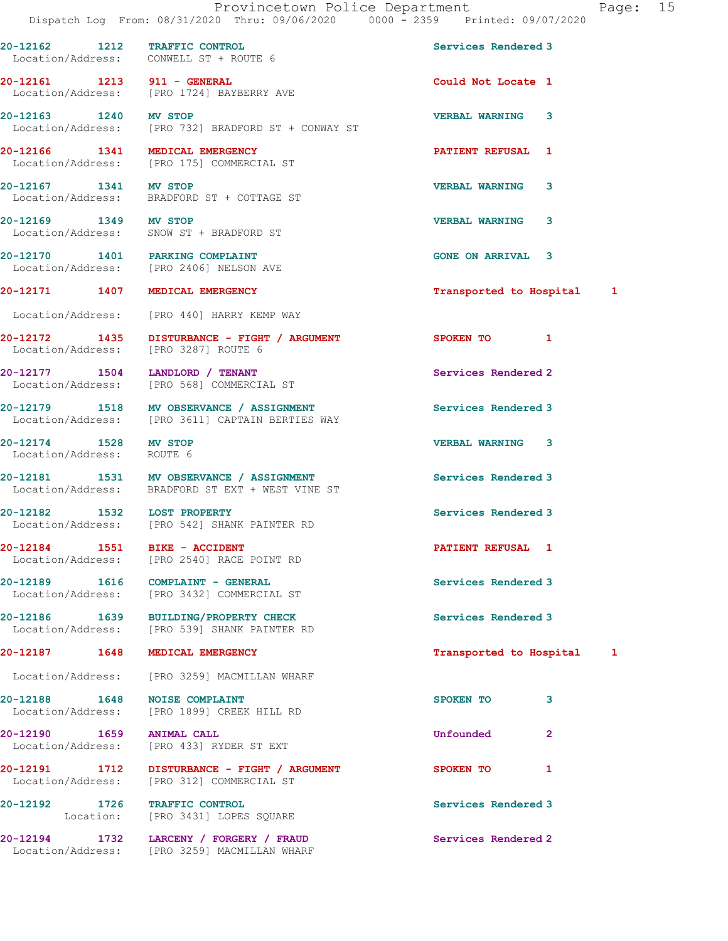Dispatch Log From: 08/31/2020 Thru: 09/06/2020 0000 - 2359 Printed: 09/07/2020 20-12162 1212 TRAFFIC CONTROL Services Rendered 3 Location/Address: CONWELL ST + ROUTE 6 20-12161 1213 911 - GENERAL **Could Not Locate** 1 Location/Address: [PRO 1724] BAYBERRY AVE 20-12163 1240 MV STOP VERBAL WARNING 3 Location/Address: [PRO 732] BRADFORD ST + CONWAY ST 20-12166 1341 MEDICAL EMERGENCY PATIENT REFUSAL 1 [PRO 175] COMMERCIAL ST 20-12167 1341 MV STOP VERBAL WARNING 3 Location/Address: BRADFORD ST + COTTAGE ST 20-12169 1349 MV STOP VERBAL WARNING 3 Location/Address: SNOW ST + BRADFORD ST 20-12170 1401 PARKING COMPLAINT COME ON ARRIVAL 3 Location/Address: [PRO 2406] NELSON AVE 20-12171 1407 MEDICAL EMERGENCY 1200 12171 1407 12171 Location/Address: [PRO 440] HARRY KEMP WAY 20-12172 1435 DISTURBANCE - FIGHT / ARGUMENT SPOKEN TO 1 Location/Address: [PRO 3287] ROUTE 6 20-12177 1504 LANDLORD / TENANT Services Rendered 2 Location/Address: [PRO 568] COMMERCIAL ST

20-12179 1518 MV OBSERVANCE / ASSIGNMENT Services Rendered 3 Location/Address: [PRO 3611] CAPTAIN BERTIES WAY

20-12174 1528 MV STOP VERBAL WARNING 3 Location/Address: ROUTE 6

20-12192 1726 TRAFFIC CONTROL Services Rendered 3

20-12181 1531 MV OBSERVANCE / ASSIGNMENT Services Rendered 3 Location/Address: BRADFORD ST EXT + WEST VINE ST

20-12182 1532 LOST PROPERTY Services Rendered 3 Location/Address: [PRO 542] SHANK PAINTER RD

20-12184 1551 BIKE - ACCIDENT PATIENT REFUSAL 1 Location/Address: [PRO 2540] RACE POINT RD

20-12189 1616 COMPLAINT - GENERAL Services Rendered 3 Location/Address: [PRO 3432] COMMERCIAL ST

20-12186 1639 BUILDING/PROPERTY CHECK Services Rendered 3 Location/Address: [PRO 539] SHANK PAINTER RD

Location/Address: [PRO 3259] MACMILLAN WHARF

20-12188 1648 NOISE COMPLAINT 3 SPOKEN TO 3 Location/Address: [PRO 1899] CREEK HILL RD

20-12190 1659 ANIMAL CALL Unfounded 2 Location/Address: [PRO 433] RYDER ST EXT

20-12191 1712 DISTURBANCE - FIGHT / ARGUMENT SPOKEN TO 1 Location/Address: [PRO 312] COMMERCIAL ST

Location: [PRO 3431] LOPES SQUARE

20-12194 1732 LARCENY / FORGERY / FRAUD Services Rendered 2 Location/Address: [PRO 3259] MACMILLAN WHARF

20-12187 1648 MEDICAL EMERGENCY **1648** 16 September 1648 1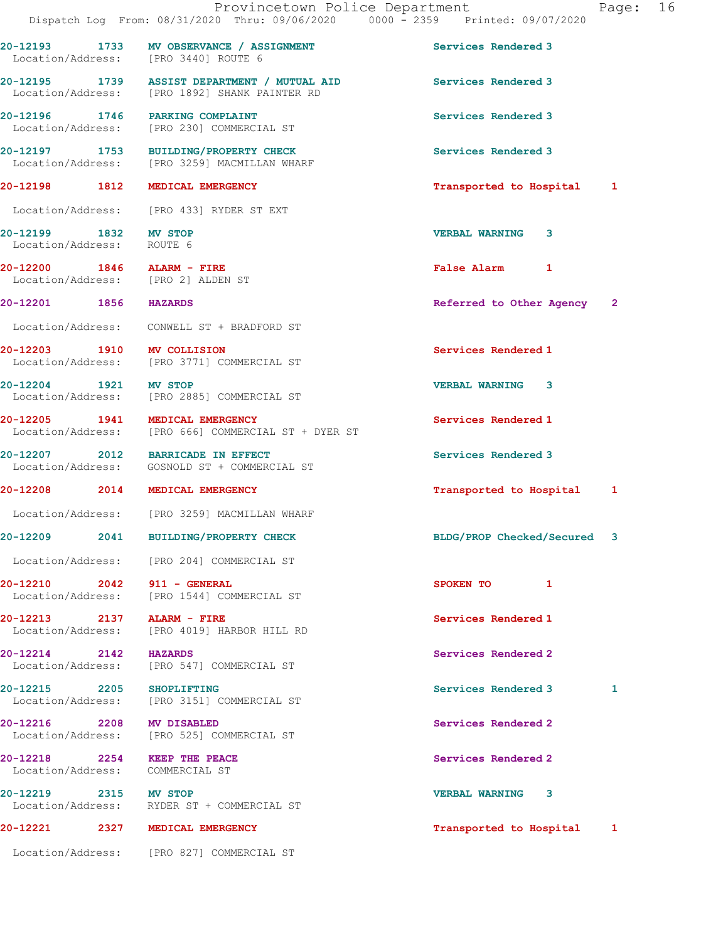|                                            | Provincetown Police Department<br>Dispatch Log From: 08/31/2020 Thru: 09/06/2020 0000 - 2359 Printed: 09/07/2020 | 16<br>Page:                |
|--------------------------------------------|------------------------------------------------------------------------------------------------------------------|----------------------------|
|                                            | 20-12193 1733 MV OBSERVANCE / ASSIGNMENT<br>Location/Address: [PRO 3440] ROUTE 6                                 | Services Rendered 3        |
|                                            | 20-12195 1739 ASSIST DEPARTMENT / MUTUAL AID<br>Location/Address: [PRO 1892] SHANK PAINTER RD                    | Services Rendered 3        |
|                                            | 20-12196 1746 PARKING COMPLAINT<br>Location/Address: [PRO 230] COMMERCIAL ST                                     | Services Rendered 3        |
|                                            | 20-12197 1753 BUILDING/PROPERTY CHECK<br>Location/Address: [PRO 3259] MACMILLAN WHARF                            | Services Rendered 3        |
|                                            | 20-12198 1812 MEDICAL EMERGENCY                                                                                  | Transported to Hospital 1  |
|                                            | Location/Address: [PRO 433] RYDER ST EXT                                                                         |                            |
| 20-12199 1832 MV STOP<br>Location/Address: | ROUTE 6                                                                                                          | <b>VERBAL WARNING</b><br>3 |
|                                            | 20-12200 1846 ALARM - FIRE<br>Location/Address: [PRO 2] ALDEN ST                                                 | False Alarm 1              |
| 20-12201 1856 HAZARDS                      |                                                                                                                  | Referred to Other Agency 2 |
|                                            | Location/Address: CONWELL ST + BRADFORD ST                                                                       |                            |
| 20-12203 1910 MV COLLISION                 | Location/Address: [PRO 3771] COMMERCIAL ST                                                                       | Services Rendered 1        |
| 20-12204 1921 MV STOP                      | Location/Address: [PRO 2885] COMMERCIAL ST                                                                       | <b>VERBAL WARNING 3</b>    |
|                                            | 20-12205 1941 MEDICAL EMERGENCY<br>Location/Address: [PRO 666] COMMERCIAL ST + DYER ST                           | Services Rendered 1        |
|                                            | 20-12207 2012 BARRICADE IN EFFECT<br>Location/Address: GOSNOLD ST + COMMERCIAL ST                                | Services Rendered 3        |
|                                            | 20-12208 2014 MEDICAL EMERGENCY                                                                                  | Transported to Hospital 1  |
|                                            | Location/Address: [PRO 3259] MACMILLAN WHARF                                                                     |                            |
| 20-12209 2041                              | <b>BUILDING/PROPERTY CHECK</b>                                                                                   | BLDG/PROP Checked/Secured  |
|                                            | Location/Address: [PRO 204] COMMERCIAL ST                                                                        |                            |
|                                            | 20-12210 2042 911 - GENERAL<br>Location/Address: [PRO 1544] COMMERCIAL ST                                        | SPOKEN TO<br>1             |
|                                            | 20-12213 2137 ALARM - FIRE<br>Location/Address: [PRO 4019] HARBOR HILL RD                                        | Services Rendered 1        |
| 20-12214 2142 HAZARDS                      | Location/Address: [PRO 547] COMMERCIAL ST                                                                        | Services Rendered 2        |
| 20-12215 2205 SHOPLIFTING                  | Location/Address: [PRO 3151] COMMERCIAL ST                                                                       | Services Rendered 3<br>1   |
| 20-12216 2208 MV DISABLED                  | Location/Address: [PRO 525] COMMERCIAL ST                                                                        | Services Rendered 2        |
|                                            | 20-12218 2254 KEEP THE PEACE<br>Location/Address: COMMERCIAL ST                                                  | Services Rendered 2        |
| 20-12219 2315 MV STOP                      | Location/Address: RYDER ST + COMMERCIAL ST                                                                       | VERBAL WARNING 3           |
|                                            | 20-12221 2327 MEDICAL EMERGENCY                                                                                  | Transported to Hospital 1  |
|                                            | Location/Address: [PRO 827] COMMERCIAL ST                                                                        |                            |
|                                            |                                                                                                                  |                            |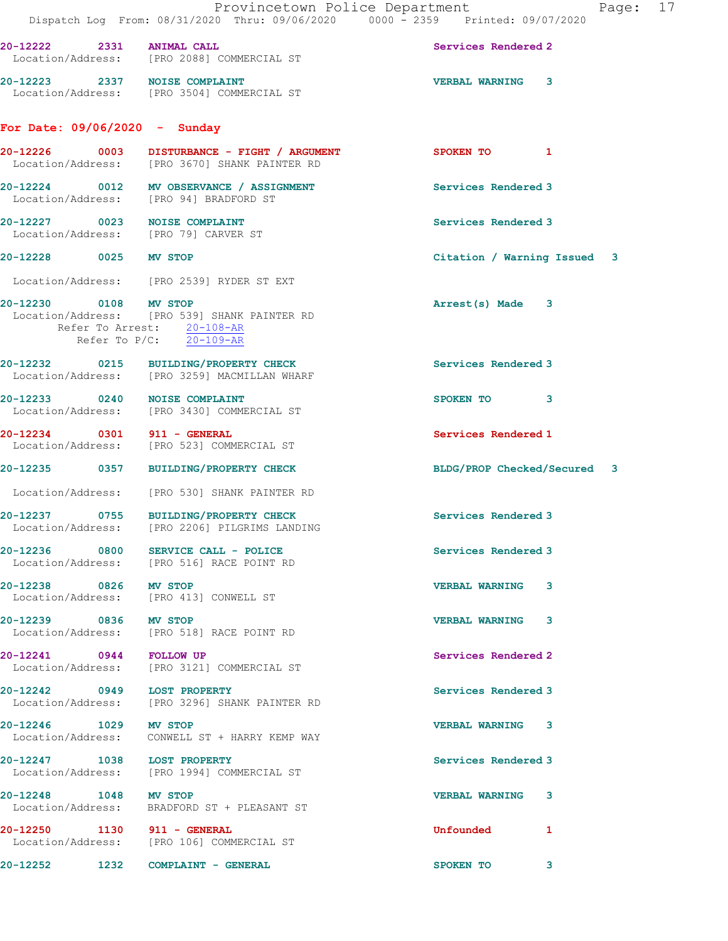| 20-12222 2331 ANIMAL CALL<br>Location/Address: [PRO 2088] COMMERCIAL ST<br>Services Rendered 2<br>20-12223 2337 NOISE COMPLAINT<br>Location/Address: [PRO 3504] COMMERCIAL ST<br>VERBAL WARNING 3<br>For Date: $09/06/2020 -$ Sunday<br>SPOKEN TO 1<br>Location/Address: [PRO 3670] SHANK PAINTER RD<br>20-12224 0012 MV OBSERVANCE / ASSIGNMENT<br>Services Rendered 3<br>Location/Address: [PRO 94] BRADFORD ST<br>20-12227 0023 NOISE COMPLAINT<br>Services Rendered 3<br>Location/Address: [PRO 79] CARVER ST<br>20-12228 0025 MV STOP<br>Citation / Warning Issued 3<br>Location/Address: [PRO 2539] RYDER ST EXT<br>20-12230 0108 MV STOP<br>Arrest(s) Made 3<br>Location/Address: [PRO 539] SHANK PAINTER RD<br>Refer To Arrest: 20-108-AR<br>Refer To $P/C$ : 20-109-AR<br>20-12232 0215 BUILDING/PROPERTY CHECK<br>Services Rendered 3<br>Location/Address: [PRO 3259] MACMILLAN WHARF<br>20-12233 0240 NOISE COMPLAINT<br>SPOKEN TO 3<br>Location/Address: [PRO 3430] COMMERCIAL ST<br>20-12234 0301 911 - GENERAL<br>Services Rendered 1<br>Location/Address: [PRO 523] COMMERCIAL ST<br>20-12235 0357 BUILDING/PROPERTY CHECK<br>BLDG/PROP Checked/Secured 3<br>Location/Address: [PRO 530] SHANK PAINTER RD<br>20-12237 0755 BUILDING/PROPERTY CHECK<br>Services Rendered 3<br>Location/Address: [PRO 2206] PILGRIMS LANDING<br>$20-12236$ 0800 SERVICE CALL - POLICE<br>Services Rendered 3<br>Location/Address: [PRO 516] RACE POINT RD<br>20-12238 0826 MV STOP<br><b>VERBAL WARNING 3</b><br>Location/Address: [PRO 413] CONWELL ST<br>20-12239 0836 MV STOP<br><b>VERBAL WARNING 3</b><br>Location/Address: [PRO 518] RACE POINT RD<br>20-12241 0944 FOLLOW UP<br>Services Rendered 2<br>Location/Address: [PRO 3121] COMMERCIAL ST<br>20-12242 0949 LOST PROPERTY<br>Services Rendered 3<br>Location/Address: [PRO 3296] SHANK PAINTER RD<br>20-12246 1029 MV STOP<br>VERBAL WARNING 3<br>Location/Address: CONWELL ST + HARRY KEMP WAY<br>20-12247 1038 LOST PROPERTY<br>Services Rendered 3<br>Location/Address: [PRO 1994] COMMERCIAL ST<br>20-12248 1048 MV STOP<br>VERBAL WARNING 3<br>Location/Address: BRADFORD ST + PLEASANT ST<br>20-12250   1130   911 - GENERAL<br>Location/Address: [PRO 106] COMMERCIAL ST<br>Unfounded 1<br>20-12252 1232 COMPLAINT - GENERAL<br>SPOKEN TO<br>3 | Provincetown Police Department<br>Dispatch Log From: 08/31/2020 Thru: 09/06/2020 0000 - 2359 Printed: 09/07/2020 |  |  |  |  | Page: 17 |  |
|------------------------------------------------------------------------------------------------------------------------------------------------------------------------------------------------------------------------------------------------------------------------------------------------------------------------------------------------------------------------------------------------------------------------------------------------------------------------------------------------------------------------------------------------------------------------------------------------------------------------------------------------------------------------------------------------------------------------------------------------------------------------------------------------------------------------------------------------------------------------------------------------------------------------------------------------------------------------------------------------------------------------------------------------------------------------------------------------------------------------------------------------------------------------------------------------------------------------------------------------------------------------------------------------------------------------------------------------------------------------------------------------------------------------------------------------------------------------------------------------------------------------------------------------------------------------------------------------------------------------------------------------------------------------------------------------------------------------------------------------------------------------------------------------------------------------------------------------------------------------------------------------------------------------------------------------------------------------------------------------------------------------------------------------------------------------------------------------------------------------------------------------------------------------------------------------------------------------------------------------------------------------------------------------------------------|------------------------------------------------------------------------------------------------------------------|--|--|--|--|----------|--|
|                                                                                                                                                                                                                                                                                                                                                                                                                                                                                                                                                                                                                                                                                                                                                                                                                                                                                                                                                                                                                                                                                                                                                                                                                                                                                                                                                                                                                                                                                                                                                                                                                                                                                                                                                                                                                                                                                                                                                                                                                                                                                                                                                                                                                                                                                                                  |                                                                                                                  |  |  |  |  |          |  |
|                                                                                                                                                                                                                                                                                                                                                                                                                                                                                                                                                                                                                                                                                                                                                                                                                                                                                                                                                                                                                                                                                                                                                                                                                                                                                                                                                                                                                                                                                                                                                                                                                                                                                                                                                                                                                                                                                                                                                                                                                                                                                                                                                                                                                                                                                                                  |                                                                                                                  |  |  |  |  |          |  |
|                                                                                                                                                                                                                                                                                                                                                                                                                                                                                                                                                                                                                                                                                                                                                                                                                                                                                                                                                                                                                                                                                                                                                                                                                                                                                                                                                                                                                                                                                                                                                                                                                                                                                                                                                                                                                                                                                                                                                                                                                                                                                                                                                                                                                                                                                                                  |                                                                                                                  |  |  |  |  |          |  |
|                                                                                                                                                                                                                                                                                                                                                                                                                                                                                                                                                                                                                                                                                                                                                                                                                                                                                                                                                                                                                                                                                                                                                                                                                                                                                                                                                                                                                                                                                                                                                                                                                                                                                                                                                                                                                                                                                                                                                                                                                                                                                                                                                                                                                                                                                                                  |                                                                                                                  |  |  |  |  |          |  |
|                                                                                                                                                                                                                                                                                                                                                                                                                                                                                                                                                                                                                                                                                                                                                                                                                                                                                                                                                                                                                                                                                                                                                                                                                                                                                                                                                                                                                                                                                                                                                                                                                                                                                                                                                                                                                                                                                                                                                                                                                                                                                                                                                                                                                                                                                                                  |                                                                                                                  |  |  |  |  |          |  |
|                                                                                                                                                                                                                                                                                                                                                                                                                                                                                                                                                                                                                                                                                                                                                                                                                                                                                                                                                                                                                                                                                                                                                                                                                                                                                                                                                                                                                                                                                                                                                                                                                                                                                                                                                                                                                                                                                                                                                                                                                                                                                                                                                                                                                                                                                                                  |                                                                                                                  |  |  |  |  |          |  |
|                                                                                                                                                                                                                                                                                                                                                                                                                                                                                                                                                                                                                                                                                                                                                                                                                                                                                                                                                                                                                                                                                                                                                                                                                                                                                                                                                                                                                                                                                                                                                                                                                                                                                                                                                                                                                                                                                                                                                                                                                                                                                                                                                                                                                                                                                                                  |                                                                                                                  |  |  |  |  |          |  |
|                                                                                                                                                                                                                                                                                                                                                                                                                                                                                                                                                                                                                                                                                                                                                                                                                                                                                                                                                                                                                                                                                                                                                                                                                                                                                                                                                                                                                                                                                                                                                                                                                                                                                                                                                                                                                                                                                                                                                                                                                                                                                                                                                                                                                                                                                                                  |                                                                                                                  |  |  |  |  |          |  |
|                                                                                                                                                                                                                                                                                                                                                                                                                                                                                                                                                                                                                                                                                                                                                                                                                                                                                                                                                                                                                                                                                                                                                                                                                                                                                                                                                                                                                                                                                                                                                                                                                                                                                                                                                                                                                                                                                                                                                                                                                                                                                                                                                                                                                                                                                                                  |                                                                                                                  |  |  |  |  |          |  |
|                                                                                                                                                                                                                                                                                                                                                                                                                                                                                                                                                                                                                                                                                                                                                                                                                                                                                                                                                                                                                                                                                                                                                                                                                                                                                                                                                                                                                                                                                                                                                                                                                                                                                                                                                                                                                                                                                                                                                                                                                                                                                                                                                                                                                                                                                                                  |                                                                                                                  |  |  |  |  |          |  |
|                                                                                                                                                                                                                                                                                                                                                                                                                                                                                                                                                                                                                                                                                                                                                                                                                                                                                                                                                                                                                                                                                                                                                                                                                                                                                                                                                                                                                                                                                                                                                                                                                                                                                                                                                                                                                                                                                                                                                                                                                                                                                                                                                                                                                                                                                                                  |                                                                                                                  |  |  |  |  |          |  |
|                                                                                                                                                                                                                                                                                                                                                                                                                                                                                                                                                                                                                                                                                                                                                                                                                                                                                                                                                                                                                                                                                                                                                                                                                                                                                                                                                                                                                                                                                                                                                                                                                                                                                                                                                                                                                                                                                                                                                                                                                                                                                                                                                                                                                                                                                                                  |                                                                                                                  |  |  |  |  |          |  |
|                                                                                                                                                                                                                                                                                                                                                                                                                                                                                                                                                                                                                                                                                                                                                                                                                                                                                                                                                                                                                                                                                                                                                                                                                                                                                                                                                                                                                                                                                                                                                                                                                                                                                                                                                                                                                                                                                                                                                                                                                                                                                                                                                                                                                                                                                                                  |                                                                                                                  |  |  |  |  |          |  |
|                                                                                                                                                                                                                                                                                                                                                                                                                                                                                                                                                                                                                                                                                                                                                                                                                                                                                                                                                                                                                                                                                                                                                                                                                                                                                                                                                                                                                                                                                                                                                                                                                                                                                                                                                                                                                                                                                                                                                                                                                                                                                                                                                                                                                                                                                                                  |                                                                                                                  |  |  |  |  |          |  |
|                                                                                                                                                                                                                                                                                                                                                                                                                                                                                                                                                                                                                                                                                                                                                                                                                                                                                                                                                                                                                                                                                                                                                                                                                                                                                                                                                                                                                                                                                                                                                                                                                                                                                                                                                                                                                                                                                                                                                                                                                                                                                                                                                                                                                                                                                                                  |                                                                                                                  |  |  |  |  |          |  |
|                                                                                                                                                                                                                                                                                                                                                                                                                                                                                                                                                                                                                                                                                                                                                                                                                                                                                                                                                                                                                                                                                                                                                                                                                                                                                                                                                                                                                                                                                                                                                                                                                                                                                                                                                                                                                                                                                                                                                                                                                                                                                                                                                                                                                                                                                                                  |                                                                                                                  |  |  |  |  |          |  |
|                                                                                                                                                                                                                                                                                                                                                                                                                                                                                                                                                                                                                                                                                                                                                                                                                                                                                                                                                                                                                                                                                                                                                                                                                                                                                                                                                                                                                                                                                                                                                                                                                                                                                                                                                                                                                                                                                                                                                                                                                                                                                                                                                                                                                                                                                                                  |                                                                                                                  |  |  |  |  |          |  |
|                                                                                                                                                                                                                                                                                                                                                                                                                                                                                                                                                                                                                                                                                                                                                                                                                                                                                                                                                                                                                                                                                                                                                                                                                                                                                                                                                                                                                                                                                                                                                                                                                                                                                                                                                                                                                                                                                                                                                                                                                                                                                                                                                                                                                                                                                                                  |                                                                                                                  |  |  |  |  |          |  |
|                                                                                                                                                                                                                                                                                                                                                                                                                                                                                                                                                                                                                                                                                                                                                                                                                                                                                                                                                                                                                                                                                                                                                                                                                                                                                                                                                                                                                                                                                                                                                                                                                                                                                                                                                                                                                                                                                                                                                                                                                                                                                                                                                                                                                                                                                                                  |                                                                                                                  |  |  |  |  |          |  |
|                                                                                                                                                                                                                                                                                                                                                                                                                                                                                                                                                                                                                                                                                                                                                                                                                                                                                                                                                                                                                                                                                                                                                                                                                                                                                                                                                                                                                                                                                                                                                                                                                                                                                                                                                                                                                                                                                                                                                                                                                                                                                                                                                                                                                                                                                                                  |                                                                                                                  |  |  |  |  |          |  |
|                                                                                                                                                                                                                                                                                                                                                                                                                                                                                                                                                                                                                                                                                                                                                                                                                                                                                                                                                                                                                                                                                                                                                                                                                                                                                                                                                                                                                                                                                                                                                                                                                                                                                                                                                                                                                                                                                                                                                                                                                                                                                                                                                                                                                                                                                                                  |                                                                                                                  |  |  |  |  |          |  |
|                                                                                                                                                                                                                                                                                                                                                                                                                                                                                                                                                                                                                                                                                                                                                                                                                                                                                                                                                                                                                                                                                                                                                                                                                                                                                                                                                                                                                                                                                                                                                                                                                                                                                                                                                                                                                                                                                                                                                                                                                                                                                                                                                                                                                                                                                                                  |                                                                                                                  |  |  |  |  |          |  |
|                                                                                                                                                                                                                                                                                                                                                                                                                                                                                                                                                                                                                                                                                                                                                                                                                                                                                                                                                                                                                                                                                                                                                                                                                                                                                                                                                                                                                                                                                                                                                                                                                                                                                                                                                                                                                                                                                                                                                                                                                                                                                                                                                                                                                                                                                                                  |                                                                                                                  |  |  |  |  |          |  |
|                                                                                                                                                                                                                                                                                                                                                                                                                                                                                                                                                                                                                                                                                                                                                                                                                                                                                                                                                                                                                                                                                                                                                                                                                                                                                                                                                                                                                                                                                                                                                                                                                                                                                                                                                                                                                                                                                                                                                                                                                                                                                                                                                                                                                                                                                                                  |                                                                                                                  |  |  |  |  |          |  |
|                                                                                                                                                                                                                                                                                                                                                                                                                                                                                                                                                                                                                                                                                                                                                                                                                                                                                                                                                                                                                                                                                                                                                                                                                                                                                                                                                                                                                                                                                                                                                                                                                                                                                                                                                                                                                                                                                                                                                                                                                                                                                                                                                                                                                                                                                                                  |                                                                                                                  |  |  |  |  |          |  |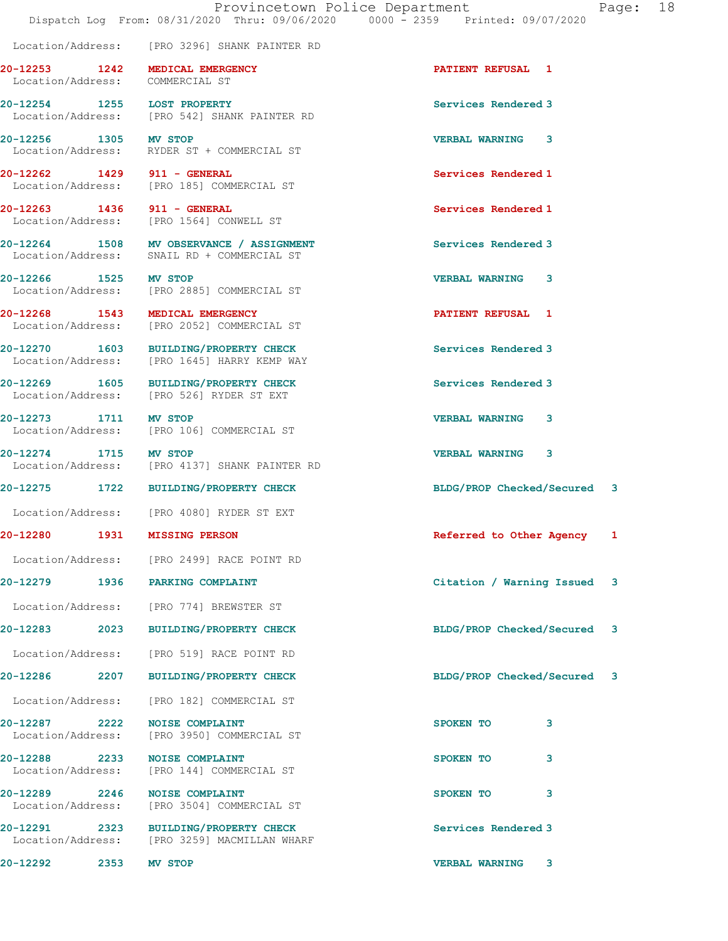|                                                                    | Location/Address: [PRO 3296] SHANK PAINTER RD                                          |                             |  |
|--------------------------------------------------------------------|----------------------------------------------------------------------------------------|-----------------------------|--|
| 20-12253 1242 MEDICAL EMERGENCY<br>Location/Address: COMMERCIAL ST |                                                                                        | PATIENT REFUSAL 1           |  |
| 20-12254 1255 LOST PROPERTY                                        | Location/Address: [PRO 542] SHANK PAINTER RD                                           | Services Rendered 3         |  |
|                                                                    | 20-12256 1305 MV STOP<br>Location/Address: RYDER ST + COMMERCIAL ST                    | <b>VERBAL WARNING 3</b>     |  |
| 20-12262 1429 911 - GENERAL                                        | Location/Address: [PRO 185] COMMERCIAL ST                                              | Services Rendered 1         |  |
| 20-12263 1436 911 - GENERAL                                        | Location/Address: [PRO 1564] CONWELL ST                                                | Services Rendered 1         |  |
|                                                                    | 20-12264 1508 MV OBSERVANCE / ASSIGNMENT<br>Location/Address: SNAIL RD + COMMERCIAL ST | Services Rendered 3         |  |
| 20-12266 1525 MV STOP                                              | Location/Address: [PRO 2885] COMMERCIAL ST                                             | <b>VERBAL WARNING</b><br>3  |  |
| 20-12268 1543 MEDICAL EMERGENCY                                    | Location/Address: [PRO 2052] COMMERCIAL ST                                             | <b>PATIENT REFUSAL 1</b>    |  |
|                                                                    | 20-12270 1603 BUILDING/PROPERTY CHECK<br>Location/Address: [PRO 1645] HARRY KEMP WAY   | Services Rendered 3         |  |
|                                                                    | 20-12269 1605 BUILDING/PROPERTY CHECK<br>Location/Address: [PRO 526] RYDER ST EXT      | Services Rendered 3         |  |
| 20-12273 1711 MV STOP                                              | Location/Address: [PRO 106] COMMERCIAL ST                                              | <b>VERBAL WARNING</b><br>3  |  |
| 20-12274 1715 MV STOP                                              | Location/Address: [PRO 4137] SHANK PAINTER RD                                          | VERBAL WARNING 3            |  |
|                                                                    | 20-12275 1722 BUILDING/PROPERTY CHECK                                                  | BLDG/PROP Checked/Secured 3 |  |
|                                                                    | Location/Address: [PRO 4080] RYDER ST EXT                                              |                             |  |
| 20-12280 1931 MISSING PERSON                                       |                                                                                        | Referred to Other Agency 1  |  |
|                                                                    | Location/Address: [PRO 2499] RACE POINT RD                                             |                             |  |
| 20-12279 1936 PARKING COMPLAINT                                    |                                                                                        | Citation / Warning Issued 3 |  |
|                                                                    | Location/Address: [PRO 774] BREWSTER ST                                                |                             |  |
|                                                                    | 20-12283 2023 BUILDING/PROPERTY CHECK                                                  | BLDG/PROP Checked/Secured 3 |  |
|                                                                    | Location/Address: [PRO 519] RACE POINT RD                                              |                             |  |
| 20-12286 2207                                                      | <b>BUILDING/PROPERTY CHECK</b>                                                         | BLDG/PROP Checked/Secured 3 |  |
|                                                                    | Location/Address: [PRO 182] COMMERCIAL ST                                              |                             |  |
| 20-12287 2222 NOISE COMPLAINT                                      | Location/Address: [PRO 3950] COMMERCIAL ST                                             | 3<br>SPOKEN TO              |  |
| 20-12288 2233                                                      | <b>NOISE COMPLAINT</b><br>Location/Address: [PRO 144] COMMERCIAL ST                    | 3<br>SPOKEN TO              |  |
| 20-12289 2246                                                      | <b>NOISE COMPLAINT</b><br>Location/Address: [PRO 3504] COMMERCIAL ST                   | 3<br>SPOKEN TO              |  |
|                                                                    | 20-12291 2323 BUILDING/PROPERTY CHECK<br>Location/Address: [PRO 3259] MACMILLAN WHARF  | Services Rendered 3         |  |
| 20-12292 2353                                                      | MV STOP                                                                                | <b>VERBAL WARNING</b><br>3  |  |